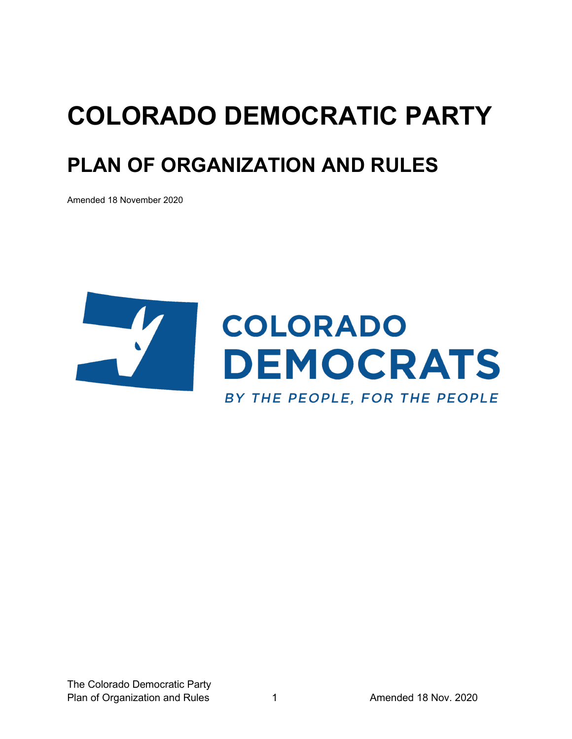# **COLORADO DEMOCRATIC PARTY PLAN OF ORGANIZATION AND RULES**

Amended 18 November 2020

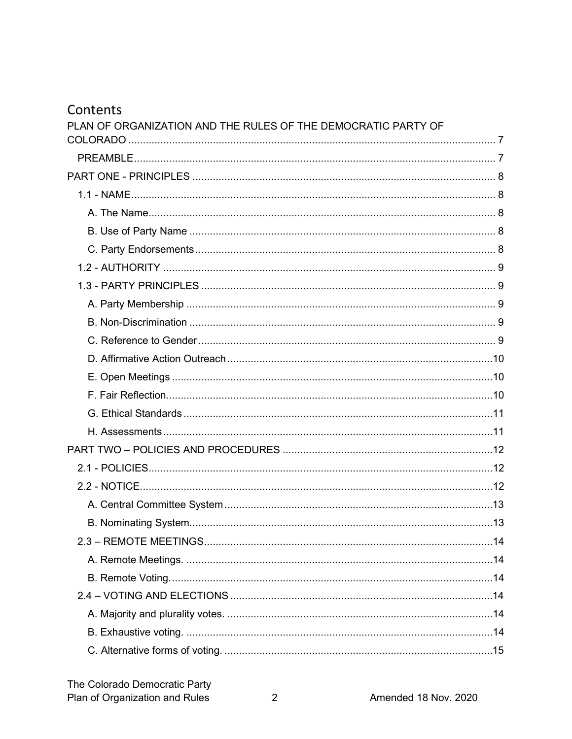# Contents

| PLAN OF ORGANIZATION AND THE RULES OF THE DEMOCRATIC PARTY OF |  |
|---------------------------------------------------------------|--|
|                                                               |  |
|                                                               |  |
|                                                               |  |
|                                                               |  |
|                                                               |  |
|                                                               |  |
|                                                               |  |
|                                                               |  |
|                                                               |  |
|                                                               |  |
|                                                               |  |
|                                                               |  |
|                                                               |  |
|                                                               |  |
|                                                               |  |
|                                                               |  |
|                                                               |  |
|                                                               |  |
|                                                               |  |
|                                                               |  |
|                                                               |  |
|                                                               |  |
|                                                               |  |
|                                                               |  |
|                                                               |  |
|                                                               |  |
|                                                               |  |
|                                                               |  |
|                                                               |  |
|                                                               |  |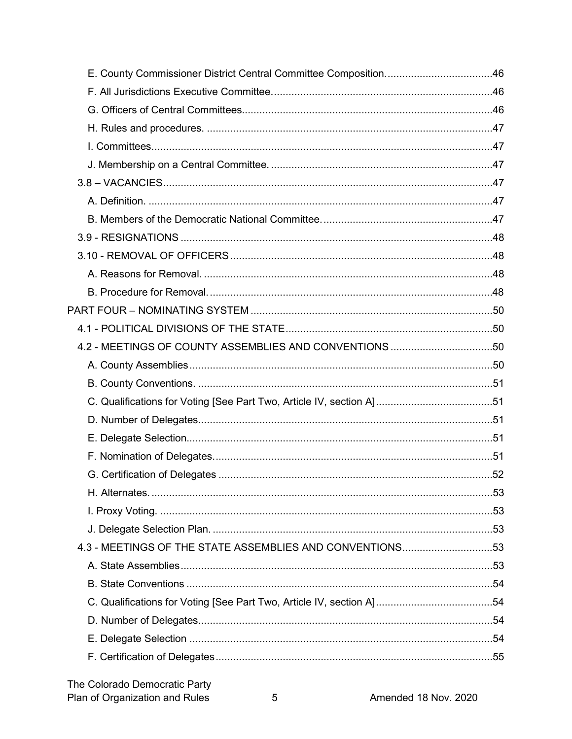| 4.3 - MEETINGS OF THE STATE ASSEMBLIES AND CONVENTIONS53 |  |
|----------------------------------------------------------|--|
|                                                          |  |
|                                                          |  |
|                                                          |  |
|                                                          |  |
|                                                          |  |
|                                                          |  |
|                                                          |  |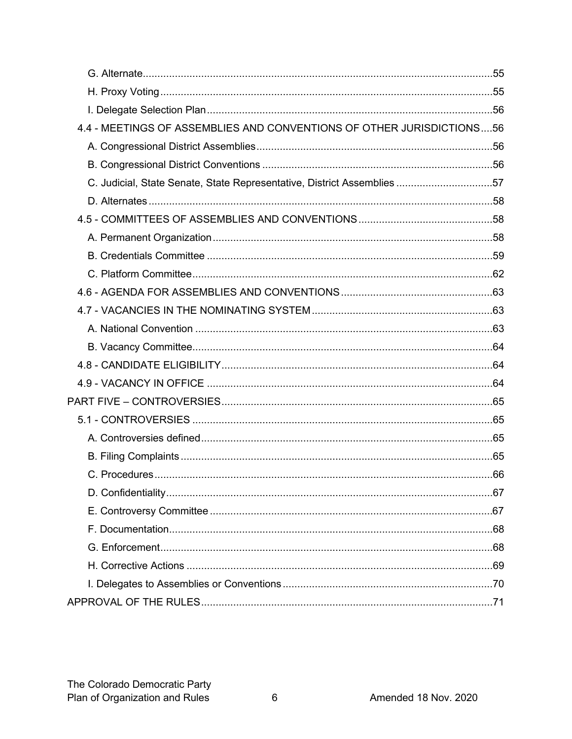| 4.4 - MEETINGS OF ASSEMBLIES AND CONVENTIONS OF OTHER JURISDICTIONS56  |  |
|------------------------------------------------------------------------|--|
|                                                                        |  |
|                                                                        |  |
| C. Judicial, State Senate, State Representative, District Assemblies57 |  |
|                                                                        |  |
|                                                                        |  |
|                                                                        |  |
|                                                                        |  |
|                                                                        |  |
|                                                                        |  |
|                                                                        |  |
|                                                                        |  |
|                                                                        |  |
|                                                                        |  |
|                                                                        |  |
|                                                                        |  |
|                                                                        |  |
|                                                                        |  |
|                                                                        |  |
|                                                                        |  |
|                                                                        |  |
|                                                                        |  |
|                                                                        |  |
|                                                                        |  |
|                                                                        |  |
|                                                                        |  |
|                                                                        |  |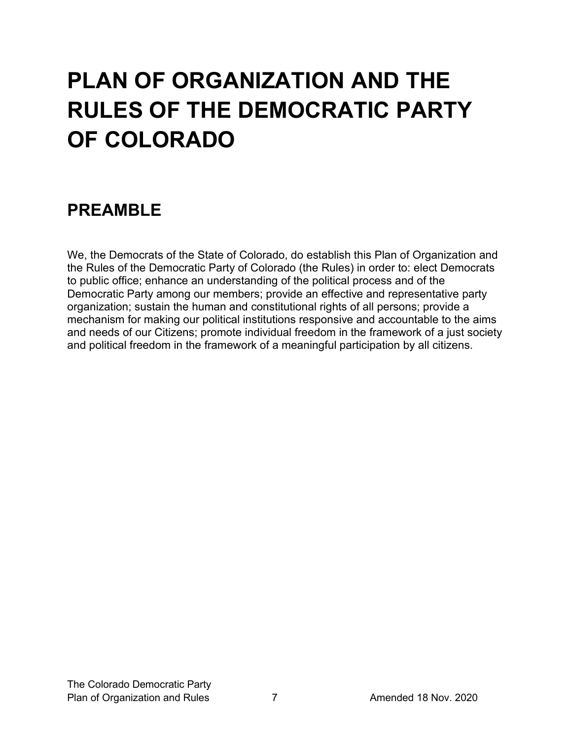# <span id="page-6-0"></span>**PLAN OF ORGANIZATION AND THE RULES OF THE DEMOCRATIC PARTY OF COLORADO**

# <span id="page-6-1"></span>**PREAMBLE**

We, the Democrats of the State of Colorado, do establish this Plan of Organization and the Rules of the Democratic Party of Colorado (the Rules) in order to: elect Democrats to public office; enhance an understanding of the political process and of the Democratic Party among our members; provide an effective and representative party organization; sustain the human and constitutional rights of all persons; provide a mechanism for making our political institutions responsive and accountable to the aims and needs of our Citizens; promote individual freedom in the framework of a just society and political freedom in the framework of a meaningful participation by all citizens.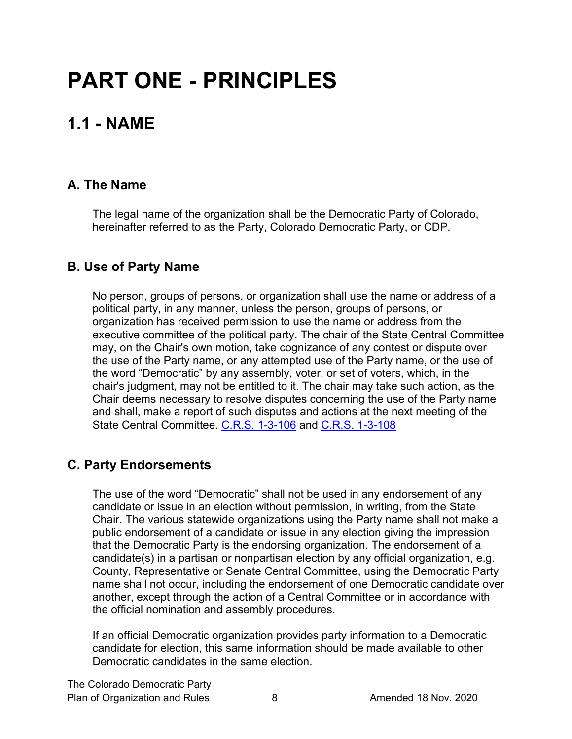# <span id="page-7-0"></span>**PART ONE - PRINCIPLES**

# <span id="page-7-1"></span>**1.1 - NAME**

# <span id="page-7-2"></span>**A. The Name**

The legal name of the organization shall be the Democratic Party of Colorado, hereinafter referred to as the Party, Colorado Democratic Party, or CDP.

# <span id="page-7-3"></span>**B. Use of Party Name**

No person, groups of persons, or organization shall use the name or address of a political party, in any manner, unless the person, groups of persons, or organization has received permission to use the name or address from the executive committee of the political party. The chair of the State Central Committee may, on the Chair's own motion, take cognizance of any contest or dispute over the use of the Party name, or any attempted use of the Party name, or the use of the word "Democratic" by any assembly, voter, or set of voters, which, in the chair's judgment, may not be entitled to it. The chair may take such action, as the Chair deems necessary to resolve disputes concerning the use of the Party name and shall, make a report of such disputes and actions at the next meeting of the State Central Committee. [C.R.S. 1-3-106](https://codes.findlaw.com/co/title-1-elections/co-rev-st-sect-1-3-106.html) and [C.R.S. 1-3-108](https://codes.findlaw.com/co/title-1-elections/co-rev-st-sect-1-3-108.html)

# <span id="page-7-4"></span>**C. Party Endorsements**

The use of the word "Democratic" shall not be used in any endorsement of any candidate or issue in an election without permission, in writing, from the State Chair. The various statewide organizations using the Party name shall not make a public endorsement of a candidate or issue in any election giving the impression that the Democratic Party is the endorsing organization. The endorsement of a candidate(s) in a partisan or nonpartisan election by any official organization, e.g. County, Representative or Senate Central Committee, using the Democratic Party name shall not occur, including the endorsement of one Democratic candidate over another, except through the action of a Central Committee or in accordance with the official nomination and assembly procedures.

If an official Democratic organization provides party information to a Democratic candidate for election, this same information should be made available to other Democratic candidates in the same election.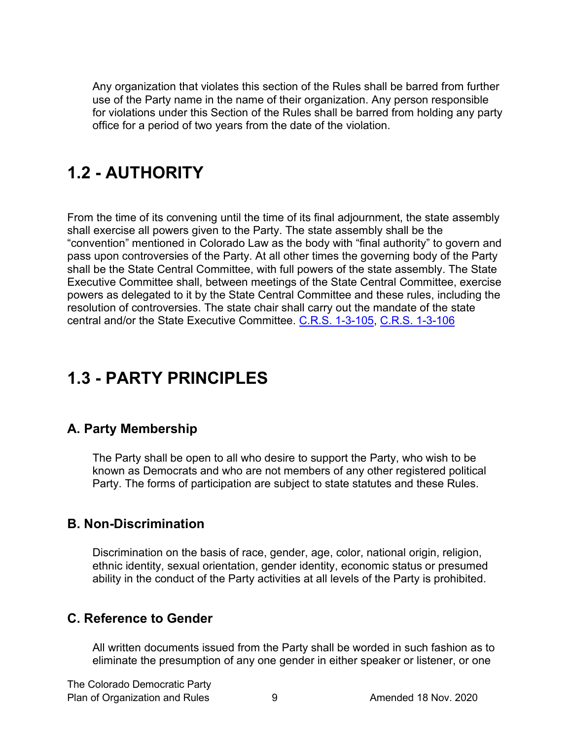Any organization that violates this section of the Rules shall be barred from further use of the Party name in the name of their organization. Any person responsible for violations under this Section of the Rules shall be barred from holding any party office for a period of two years from the date of the violation.

# <span id="page-8-0"></span>**1.2 - AUTHORITY**

From the time of its convening until the time of its final adjournment, the state assembly shall exercise all powers given to the Party. The state assembly shall be the "convention" mentioned in Colorado Law as the body with "final authority" to govern and pass upon controversies of the Party. At all other times the governing body of the Party shall be the State Central Committee, with full powers of the state assembly. The State Executive Committee shall, between meetings of the State Central Committee, exercise powers as delegated to it by the State Central Committee and these rules, including the resolution of controversies. The state chair shall carry out the mandate of the state central and/or the State Executive Committee. [C.R.S. 1-3-105,](https://codes.findlaw.com/co/title-1-elections/co-rev-st-sect-1-3-105.html) [C.R.S. 1-3-106](https://codes.findlaw.com/co/title-1-elections/co-rev-st-sect-1-3-106.html)

# <span id="page-8-1"></span>**1.3 - PARTY PRINCIPLES**

# <span id="page-8-2"></span>**A. Party Membership**

The Party shall be open to all who desire to support the Party, who wish to be known as Democrats and who are not members of any other registered political Party. The forms of participation are subject to state statutes and these Rules.

# <span id="page-8-3"></span>**B. Non-Discrimination**

Discrimination on the basis of race, gender, age, color, national origin, religion, ethnic identity, sexual orientation, gender identity, economic status or presumed ability in the conduct of the Party activities at all levels of the Party is prohibited.

# <span id="page-8-4"></span>**C. Reference to Gender**

All written documents issued from the Party shall be worded in such fashion as to eliminate the presumption of any one gender in either speaker or listener, or one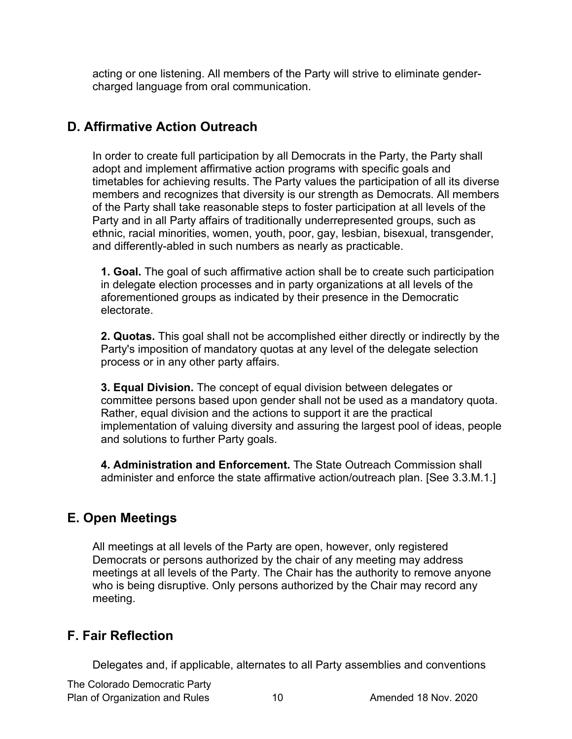acting or one listening. All members of the Party will strive to eliminate gendercharged language from oral communication.

# <span id="page-9-0"></span>**D. Affirmative Action Outreach**

In order to create full participation by all Democrats in the Party, the Party shall adopt and implement affirmative action programs with specific goals and timetables for achieving results. The Party values the participation of all its diverse members and recognizes that diversity is our strength as Democrats. All members of the Party shall take reasonable steps to foster participation at all levels of the Party and in all Party affairs of traditionally underrepresented groups, such as ethnic, racial minorities, women, youth, poor, gay, lesbian, bisexual, transgender, and differently-abled in such numbers as nearly as practicable.

**1. Goal.** The goal of such affirmative action shall be to create such participation in delegate election processes and in party organizations at all levels of the aforementioned groups as indicated by their presence in the Democratic electorate.

**2. Quotas.** This goal shall not be accomplished either directly or indirectly by the Party's imposition of mandatory quotas at any level of the delegate selection process or in any other party affairs.

**3. Equal Division.** The concept of equal division between delegates or committee persons based upon gender shall not be used as a mandatory quota. Rather, equal division and the actions to support it are the practical implementation of valuing diversity and assuring the largest pool of ideas, people and solutions to further Party goals.

**4. Administration and Enforcement.** The State Outreach Commission shall administer and enforce the state affirmative action/outreach plan. [See 3.3.M.1.]

# <span id="page-9-1"></span>**E. Open Meetings**

All meetings at all levels of the Party are open, however, only registered Democrats or persons authorized by the chair of any meeting may address meetings at all levels of the Party. The Chair has the authority to remove anyone who is being disruptive. Only persons authorized by the Chair may record any meeting.

# <span id="page-9-2"></span>**F. Fair Reflection**

Delegates and, if applicable, alternates to all Party assemblies and conventions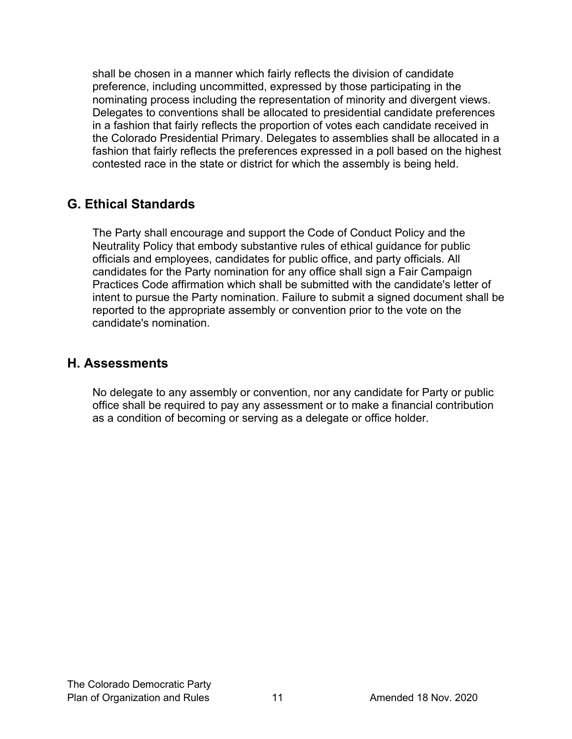shall be chosen in a manner which fairly reflects the division of candidate preference, including uncommitted, expressed by those participating in the nominating process including the representation of minority and divergent views. Delegates to conventions shall be allocated to presidential candidate preferences in a fashion that fairly reflects the proportion of votes each candidate received in the Colorado Presidential Primary. Delegates to assemblies shall be allocated in a fashion that fairly reflects the preferences expressed in a poll based on the highest contested race in the state or district for which the assembly is being held.

# <span id="page-10-0"></span>**G. Ethical Standards**

The Party shall encourage and support the Code of Conduct Policy and the Neutrality Policy that embody substantive rules of ethical guidance for public officials and employees, candidates for public office, and party officials. All candidates for the Party nomination for any office shall sign a Fair Campaign Practices Code affirmation which shall be submitted with the candidate's letter of intent to pursue the Party nomination. Failure to submit a signed document shall be reported to the appropriate assembly or convention prior to the vote on the candidate's nomination.

## <span id="page-10-1"></span>**H. Assessments**

No delegate to any assembly or convention, nor any candidate for Party or public office shall be required to pay any assessment or to make a financial contribution as a condition of becoming or serving as a delegate or office holder.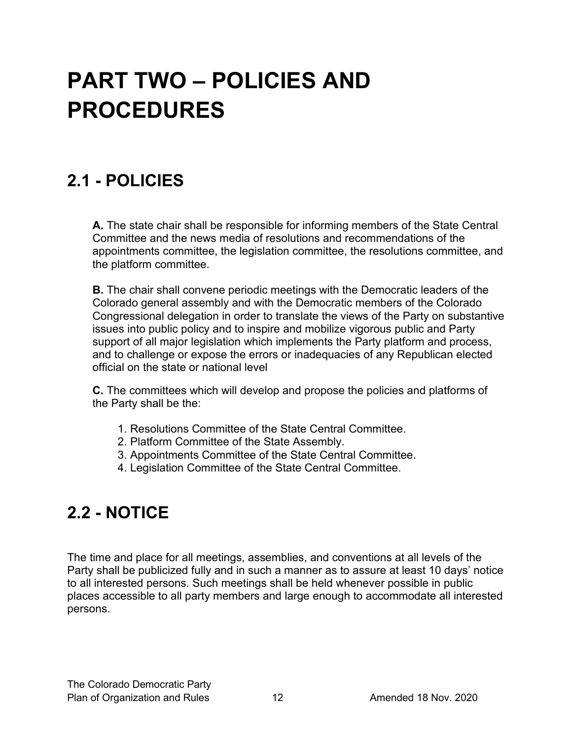# <span id="page-11-0"></span>**PART TWO – POLICIES AND PROCEDURES**

# <span id="page-11-1"></span>**2.1 - POLICIES**

**A.** The state chair shall be responsible for informing members of the State Central Committee and the news media of resolutions and recommendations of the appointments committee, the legislation committee, the resolutions committee, and the platform committee.

**B.** The chair shall convene periodic meetings with the Democratic leaders of the Colorado general assembly and with the Democratic members of the Colorado Congressional delegation in order to translate the views of the Party on substantive issues into public policy and to inspire and mobilize vigorous public and Party support of all major legislation which implements the Party platform and process, and to challenge or expose the errors or inadequacies of any Republican elected official on the state or national level

**C.** The committees which will develop and propose the policies and platforms of the Party shall be the:

- 1. Resolutions Committee of the State Central Committee.
- 2. Platform Committee of the State Assembly.
- 3. Appointments Committee of the State Central Committee.
- 4. Legislation Committee of the State Central Committee.

# <span id="page-11-2"></span>**2.2 - NOTICE**

The time and place for all meetings, assemblies, and conventions at all levels of the Party shall be publicized fully and in such a manner as to assure at least 10 days' notice to all interested persons. Such meetings shall be held whenever possible in public places accessible to all party members and large enough to accommodate all interested persons.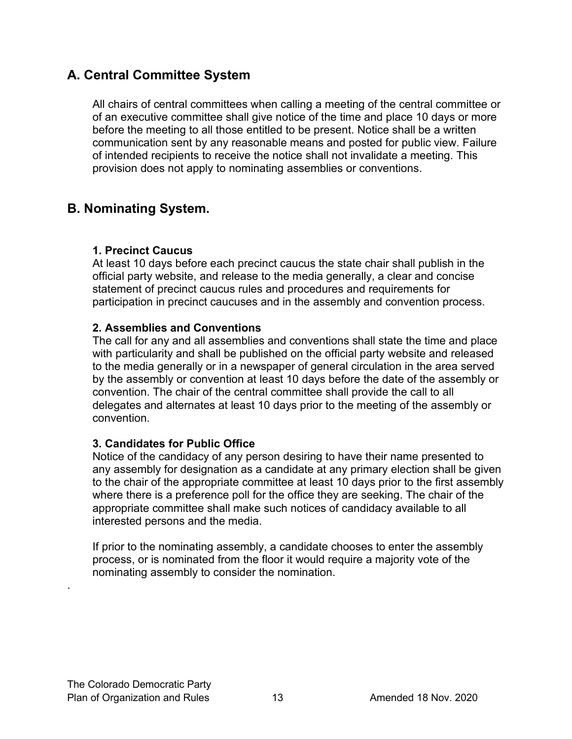# <span id="page-12-0"></span>**A. Central Committee System**

All chairs of central committees when calling a meeting of the central committee or of an executive committee shall give notice of the time and place 10 days or more before the meeting to all those entitled to be present. Notice shall be a written communication sent by any reasonable means and posted for public view. Failure of intended recipients to receive the notice shall not invalidate a meeting. This provision does not apply to nominating assemblies or conventions.

# <span id="page-12-1"></span>**B. Nominating System.**

#### **1. Precinct Caucus**

At least 10 days before each precinct caucus the state chair shall publish in the official party website, and release to the media generally, a clear and concise statement of precinct caucus rules and procedures and requirements for participation in precinct caucuses and in the assembly and convention process.

#### **2. Assemblies and Conventions**

The call for any and all assemblies and conventions shall state the time and place with particularity and shall be published on the official party website and released to the media generally or in a newspaper of general circulation in the area served by the assembly or convention at least 10 days before the date of the assembly or convention. The chair of the central committee shall provide the call to all delegates and alternates at least 10 days prior to the meeting of the assembly or convention.

### **3. Candidates for Public Office**

Notice of the candidacy of any person desiring to have their name presented to any assembly for designation as a candidate at any primary election shall be given to the chair of the appropriate committee at least 10 days prior to the first assembly where there is a preference poll for the office they are seeking. The chair of the appropriate committee shall make such notices of candidacy available to all interested persons and the media.

If prior to the nominating assembly, a candidate chooses to enter the assembly process, or is nominated from the floor it would require a majority vote of the nominating assembly to consider the nomination.

.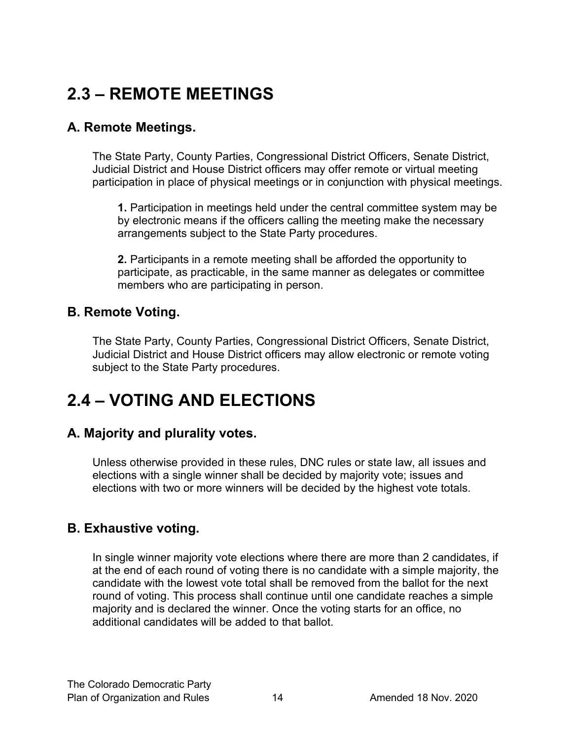# <span id="page-13-0"></span>**2.3 – REMOTE MEETINGS**

# <span id="page-13-1"></span>**A. Remote Meetings.**

The State Party, County Parties, Congressional District Officers, Senate District, Judicial District and House District officers may offer remote or virtual meeting participation in place of physical meetings or in conjunction with physical meetings.

**1.** Participation in meetings held under the central committee system may be by electronic means if the officers calling the meeting make the necessary arrangements subject to the State Party procedures.

**2.** Participants in a remote meeting shall be afforded the opportunity to participate, as practicable, in the same manner as delegates or committee members who are participating in person.

# <span id="page-13-2"></span>**B. Remote Voting.**

The State Party, County Parties, Congressional District Officers, Senate District, Judicial District and House District officers may allow electronic or remote voting subject to the State Party procedures.

# <span id="page-13-3"></span>**2.4 – VOTING AND ELECTIONS**

# <span id="page-13-4"></span>**A. Majority and plurality votes.**

Unless otherwise provided in these rules, DNC rules or state law, all issues and elections with a single winner shall be decided by majority vote; issues and elections with two or more winners will be decided by the highest vote totals.

# <span id="page-13-5"></span>**B. Exhaustive voting.**

In single winner majority vote elections where there are more than 2 candidates, if at the end of each round of voting there is no candidate with a simple majority, the candidate with the lowest vote total shall be removed from the ballot for the next round of voting. This process shall continue until one candidate reaches a simple majority and is declared the winner. Once the voting starts for an office, no additional candidates will be added to that ballot.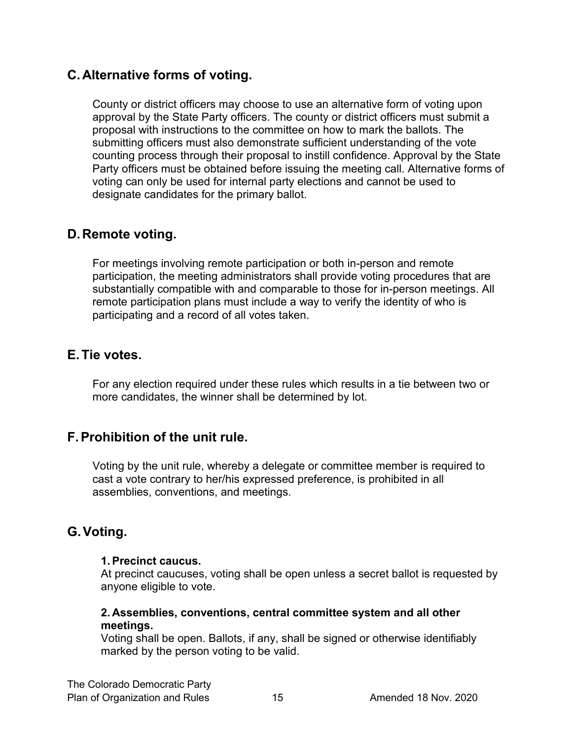# <span id="page-14-0"></span>**C.Alternative forms of voting.**

County or district officers may choose to use an alternative form of voting upon approval by the State Party officers. The county or district officers must submit a proposal with instructions to the committee on how to mark the ballots. The submitting officers must also demonstrate sufficient understanding of the vote counting process through their proposal to instill confidence. Approval by the State Party officers must be obtained before issuing the meeting call. Alternative forms of voting can only be used for internal party elections and cannot be used to designate candidates for the primary ballot.

# <span id="page-14-1"></span>**D.Remote voting.**

For meetings involving remote participation or both in-person and remote participation, the meeting administrators shall provide voting procedures that are substantially compatible with and comparable to those for in-person meetings. All remote participation plans must include a way to verify the identity of who is participating and a record of all votes taken.

# <span id="page-14-2"></span>**E.Tie votes.**

For any election required under these rules which results in a tie between two or more candidates, the winner shall be determined by lot.

# <span id="page-14-3"></span>**F.Prohibition of the unit rule.**

Voting by the unit rule, whereby a delegate or committee member is required to cast a vote contrary to her/his expressed preference, is prohibited in all assemblies, conventions, and meetings.

# <span id="page-14-4"></span>**G.Voting.**

#### **1.Precinct caucus.**

At precinct caucuses, voting shall be open unless a secret ballot is requested by anyone eligible to vote.

#### **2. Assemblies, conventions, central committee system and all other meetings.**

Voting shall be open. Ballots, if any, shall be signed or otherwise identifiably marked by the person voting to be valid.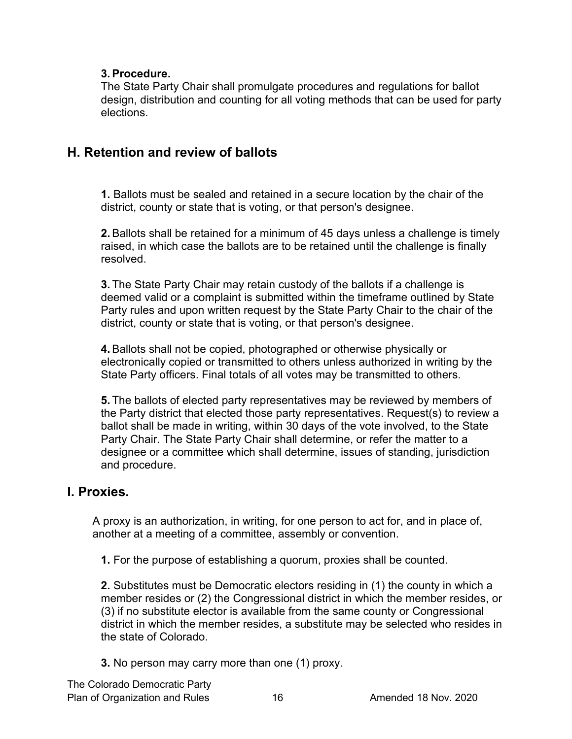#### **3.Procedure.**

The State Party Chair shall promulgate procedures and regulations for ballot design, distribution and counting for all voting methods that can be used for party elections.

## <span id="page-15-0"></span>**H. Retention and review of ballots**

**1.** Ballots must be sealed and retained in a secure location by the chair of the district, county or state that is voting, or that person's designee.

**2.**Ballots shall be retained for a minimum of 45 days unless a challenge is timely raised, in which case the ballots are to be retained until the challenge is finally resolved.

**3.** The State Party Chair may retain custody of the ballots if a challenge is deemed valid or a complaint is submitted within the timeframe outlined by State Party rules and upon written request by the State Party Chair to the chair of the district, county or state that is voting, or that person's designee.

**4.**Ballots shall not be copied, photographed or otherwise physically or electronically copied or transmitted to others unless authorized in writing by the State Party officers. Final totals of all votes may be transmitted to others.

**5.** The ballots of elected party representatives may be reviewed by members of the Party district that elected those party representatives. Request(s) to review a ballot shall be made in writing, within 30 days of the vote involved, to the State Party Chair. The State Party Chair shall determine, or refer the matter to a designee or a committee which shall determine, issues of standing, jurisdiction and procedure.

### <span id="page-15-1"></span>**I. Proxies.**

A proxy is an authorization, in writing, for one person to act for, and in place of, another at a meeting of a committee, assembly or convention.

**1.** For the purpose of establishing a quorum, proxies shall be counted.

**2.** Substitutes must be Democratic electors residing in (1) the county in which a member resides or (2) the Congressional district in which the member resides, or (3) if no substitute elector is available from the same county or Congressional district in which the member resides, a substitute may be selected who resides in the state of Colorado.

**3.** No person may carry more than one (1) proxy.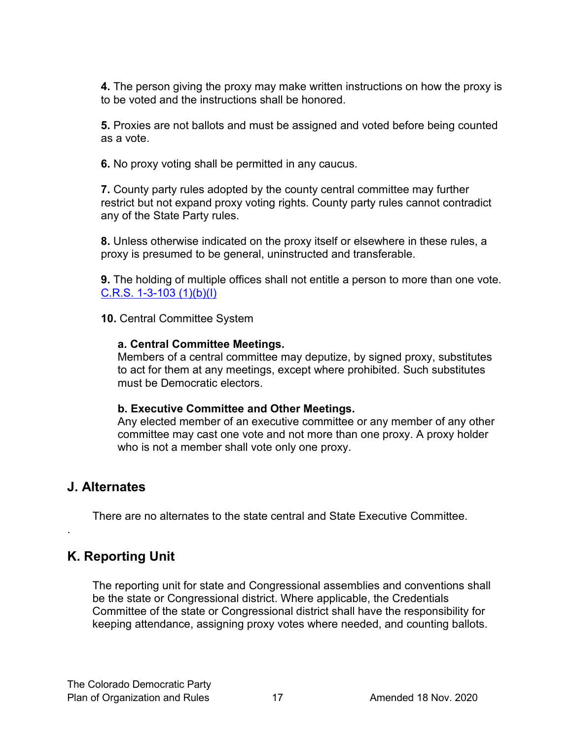**4.** The person giving the proxy may make written instructions on how the proxy is to be voted and the instructions shall be honored.

**5.** Proxies are not ballots and must be assigned and voted before being counted as a vote.

**6.** No proxy voting shall be permitted in any caucus.

**7.** County party rules adopted by the county central committee may further restrict but not expand proxy voting rights. County party rules cannot contradict any of the State Party rules.

**8.** Unless otherwise indicated on the proxy itself or elsewhere in these rules, a proxy is presumed to be general, uninstructed and transferable.

**9.** The holding of multiple offices shall not entitle a person to more than one vote. [C.R.S. 1-3-103 \(1\)\(b\)\(I\)](https://codes.findlaw.com/co/title-1-elections/co-rev-st-sect-1-3-103.html)

**10.** Central Committee System

#### **a. Central Committee Meetings.**

Members of a central committee may deputize, by signed proxy, substitutes to act for them at any meetings, except where prohibited. Such substitutes must be Democratic electors.

#### **b. Executive Committee and Other Meetings.**

Any elected member of an executive committee or any member of any other committee may cast one vote and not more than one proxy. A proxy holder who is not a member shall vote only one proxy.

### <span id="page-16-0"></span>**J. Alternates**

.

There are no alternates to the state central and State Executive Committee.

# <span id="page-16-1"></span>**K. Reporting Unit**

The reporting unit for state and Congressional assemblies and conventions shall be the state or Congressional district. Where applicable, the Credentials Committee of the state or Congressional district shall have the responsibility for keeping attendance, assigning proxy votes where needed, and counting ballots.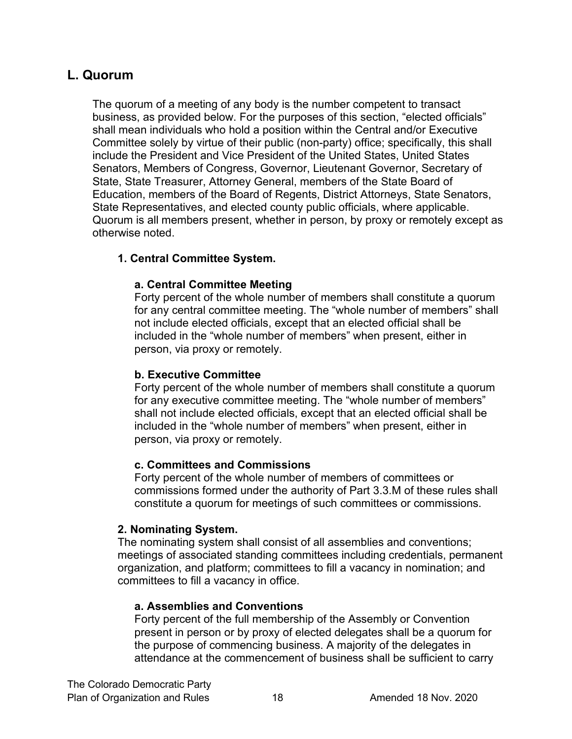# <span id="page-17-0"></span>**L. Quorum**

The quorum of a meeting of any body is the number competent to transact business, as provided below. For the purposes of this section, "elected officials" shall mean individuals who hold a position within the Central and/or Executive Committee solely by virtue of their public (non-party) office; specifically, this shall include the President and Vice President of the United States, United States Senators, Members of Congress, Governor, Lieutenant Governor, Secretary of State, State Treasurer, Attorney General, members of the State Board of Education, members of the Board of Regents, District Attorneys, State Senators, State Representatives, and elected county public officials, where applicable. Quorum is all members present, whether in person, by proxy or remotely except as otherwise noted.

#### **1. Central Committee System.**

#### **a. Central Committee Meeting**

Forty percent of the whole number of members shall constitute a quorum for any central committee meeting. The "whole number of members" shall not include elected officials, except that an elected official shall be included in the "whole number of members" when present, either in person, via proxy or remotely.

#### **b. Executive Committee**

Forty percent of the whole number of members shall constitute a quorum for any executive committee meeting. The "whole number of members" shall not include elected officials, except that an elected official shall be included in the "whole number of members" when present, either in person, via proxy or remotely.

#### **c. Committees and Commissions**

Forty percent of the whole number of members of committees or commissions formed under the authority of Part 3.3.M of these rules shall constitute a quorum for meetings of such committees or commissions.

#### **2. Nominating System.**

The nominating system shall consist of all assemblies and conventions; meetings of associated standing committees including credentials, permanent organization, and platform; committees to fill a vacancy in nomination; and committees to fill a vacancy in office.

#### **a. Assemblies and Conventions**

Forty percent of the full membership of the Assembly or Convention present in person or by proxy of elected delegates shall be a quorum for the purpose of commencing business. A majority of the delegates in attendance at the commencement of business shall be sufficient to carry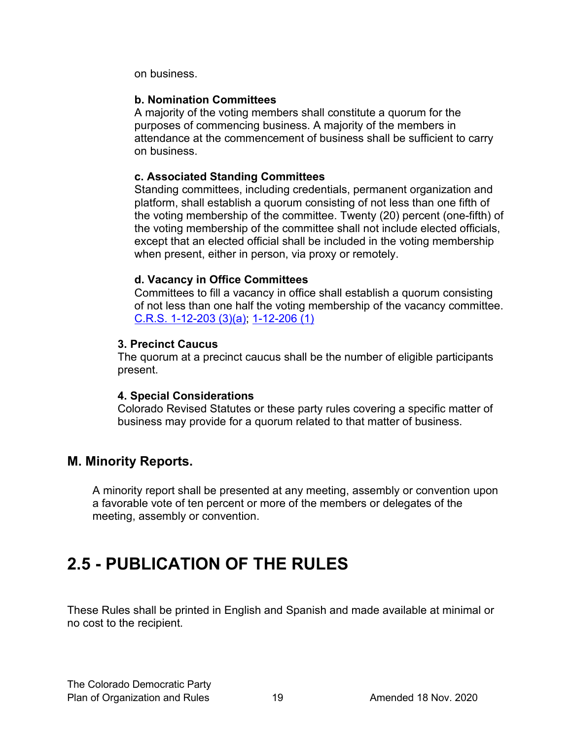on business.

#### **b. Nomination Committees**

A majority of the voting members shall constitute a quorum for the purposes of commencing business. A majority of the members in attendance at the commencement of business shall be sufficient to carry on business.

#### **c. Associated Standing Committees**

Standing committees, including credentials, permanent organization and platform, shall establish a quorum consisting of not less than one fifth of the voting membership of the committee. Twenty (20) percent (one-fifth) of the voting membership of the committee shall not include elected officials, except that an elected official shall be included in the voting membership when present, either in person, via proxy or remotely.

#### **d. Vacancy in Office Committees**

Committees to fill a vacancy in office shall establish a quorum consisting of not less than one half the voting membership of the vacancy committee. [C.R.S. 1-12-203 \(3\)\(a\);](https://codes.findlaw.com/co/title-1-elections/co-rev-st-sect-1-12-203.html) [1-12-206 \(1\)](https://codes.findlaw.com/co/title-1-elections/co-rev-st-sect-1-12-206.html)

#### **3. Precinct Caucus**

The quorum at a precinct caucus shall be the number of eligible participants present.

#### **4. Special Considerations**

Colorado Revised Statutes or these party rules covering a specific matter of business may provide for a quorum related to that matter of business.

# <span id="page-18-0"></span>**M. Minority Reports.**

A minority report shall be presented at any meeting, assembly or convention upon a favorable vote of ten percent or more of the members or delegates of the meeting, assembly or convention.

# <span id="page-18-1"></span>**2.5 - PUBLICATION OF THE RULES**

These Rules shall be printed in English and Spanish and made available at minimal or no cost to the recipient.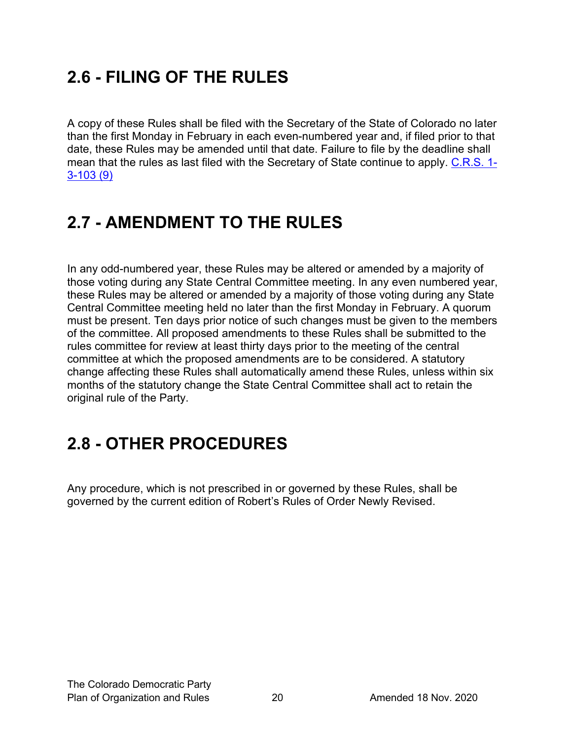# <span id="page-19-0"></span>**2.6 - FILING OF THE RULES**

A copy of these Rules shall be filed with the Secretary of the State of Colorado no later than the first Monday in February in each even-numbered year and, if filed prior to that date, these Rules may be amended until that date. Failure to file by the deadline shall mean that the rules as last filed with the Secretary of State continue to apply. [C.R.S. 1-](https://codes.findlaw.com/co/title-1-elections/co-rev-st-sect-1-3-103.html) [3-103 \(9\)](https://codes.findlaw.com/co/title-1-elections/co-rev-st-sect-1-3-103.html)

# <span id="page-19-1"></span>**2.7 - AMENDMENT TO THE RULES**

In any odd-numbered year, these Rules may be altered or amended by a majority of those voting during any State Central Committee meeting. In any even numbered year, these Rules may be altered or amended by a majority of those voting during any State Central Committee meeting held no later than the first Monday in February. A quorum must be present. Ten days prior notice of such changes must be given to the members of the committee. All proposed amendments to these Rules shall be submitted to the rules committee for review at least thirty days prior to the meeting of the central committee at which the proposed amendments are to be considered. A statutory change affecting these Rules shall automatically amend these Rules, unless within six months of the statutory change the State Central Committee shall act to retain the original rule of the Party.

# <span id="page-19-2"></span>**2.8 - OTHER PROCEDURES**

Any procedure, which is not prescribed in or governed by these Rules, shall be governed by the current edition of Robert's Rules of Order Newly Revised.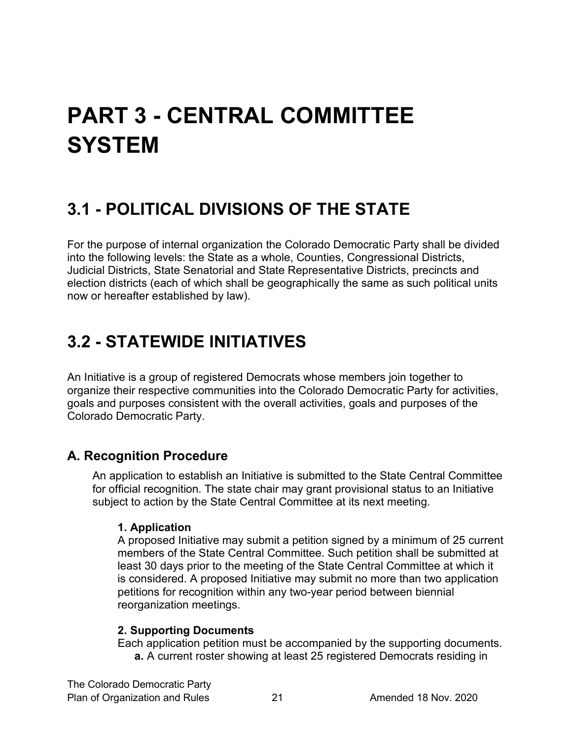# <span id="page-20-0"></span>**PART 3 - CENTRAL COMMITTEE SYSTEM**

# <span id="page-20-1"></span>**3.1 - POLITICAL DIVISIONS OF THE STATE**

For the purpose of internal organization the Colorado Democratic Party shall be divided into the following levels: the State as a whole, Counties, Congressional Districts, Judicial Districts, State Senatorial and State Representative Districts, precincts and election districts (each of which shall be geographically the same as such political units now or hereafter established by law).

# <span id="page-20-2"></span>**3.2 - STATEWIDE INITIATIVES**

An Initiative is a group of registered Democrats whose members join together to organize their respective communities into the Colorado Democratic Party for activities, goals and purposes consistent with the overall activities, goals and purposes of the Colorado Democratic Party.

# <span id="page-20-3"></span>**A. Recognition Procedure**

An application to establish an Initiative is submitted to the State Central Committee for official recognition. The state chair may grant provisional status to an Initiative subject to action by the State Central Committee at its next meeting.

#### **1. Application**

A proposed Initiative may submit a petition signed by a minimum of 25 current members of the State Central Committee. Such petition shall be submitted at least 30 days prior to the meeting of the State Central Committee at which it is considered. A proposed Initiative may submit no more than two application petitions for recognition within any two-year period between biennial reorganization meetings.

### **2. Supporting Documents**

Each application petition must be accompanied by the supporting documents. **a.** A current roster showing at least 25 registered Democrats residing in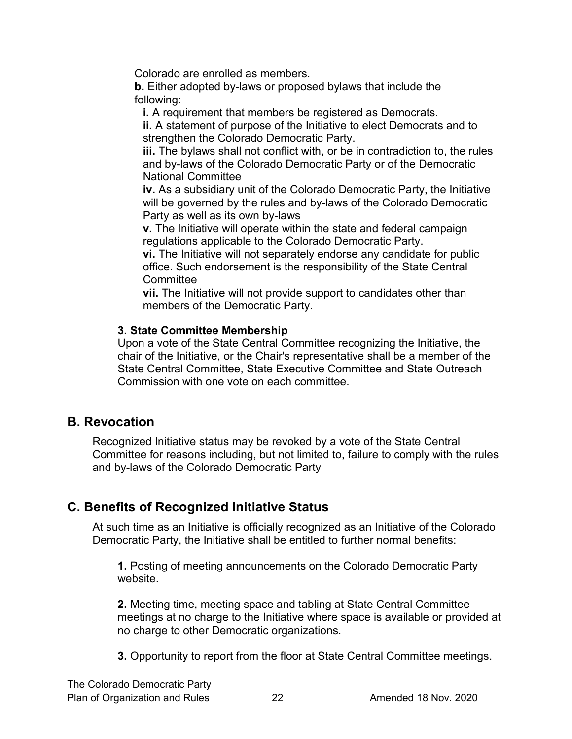Colorado are enrolled as members.

**b.** Either adopted by-laws or proposed bylaws that include the following:

**i.** A requirement that members be registered as Democrats.

**ii.** A statement of purpose of the Initiative to elect Democrats and to strengthen the Colorado Democratic Party.

**iii.** The bylaws shall not conflict with, or be in contradiction to, the rules and by-laws of the Colorado Democratic Party or of the Democratic National Committee

**iv.** As a subsidiary unit of the Colorado Democratic Party, the Initiative will be governed by the rules and by-laws of the Colorado Democratic Party as well as its own by-laws

**v.** The Initiative will operate within the state and federal campaign regulations applicable to the Colorado Democratic Party.

**vi.** The Initiative will not separately endorse any candidate for public office. Such endorsement is the responsibility of the State Central **Committee** 

**vii.** The Initiative will not provide support to candidates other than members of the Democratic Party.

#### **3. State Committee Membership**

Upon a vote of the State Central Committee recognizing the Initiative, the chair of the Initiative, or the Chair's representative shall be a member of the State Central Committee, State Executive Committee and State Outreach Commission with one vote on each committee.

#### <span id="page-21-0"></span>**B. Revocation**

Recognized Initiative status may be revoked by a vote of the State Central Committee for reasons including, but not limited to, failure to comply with the rules and by-laws of the Colorado Democratic Party

### <span id="page-21-1"></span>**C. Benefits of Recognized Initiative Status**

At such time as an Initiative is officially recognized as an Initiative of the Colorado Democratic Party, the Initiative shall be entitled to further normal benefits:

**1.** Posting of meeting announcements on the Colorado Democratic Party website.

**2.** Meeting time, meeting space and tabling at State Central Committee meetings at no charge to the Initiative where space is available or provided at no charge to other Democratic organizations.

**3.** Opportunity to report from the floor at State Central Committee meetings.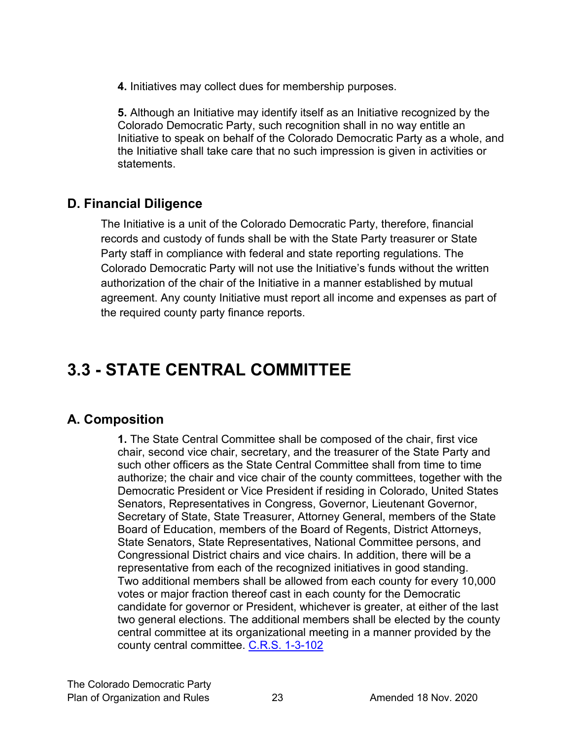**4.** Initiatives may collect dues for membership purposes.

**5.** Although an Initiative may identify itself as an Initiative recognized by the Colorado Democratic Party, such recognition shall in no way entitle an Initiative to speak on behalf of the Colorado Democratic Party as a whole, and the Initiative shall take care that no such impression is given in activities or statements.

# <span id="page-22-0"></span>**D. Financial Diligence**

The Initiative is a unit of the Colorado Democratic Party, therefore, financial records and custody of funds shall be with the State Party treasurer or State Party staff in compliance with federal and state reporting regulations. The Colorado Democratic Party will not use the Initiative's funds without the written authorization of the chair of the Initiative in a manner established by mutual agreement. Any county Initiative must report all income and expenses as part of the required county party finance reports.

# <span id="page-22-1"></span>**3.3 - STATE CENTRAL COMMITTEE**

# <span id="page-22-2"></span>**A. Composition**

**1.** The State Central Committee shall be composed of the chair, first vice chair, second vice chair, secretary, and the treasurer of the State Party and such other officers as the State Central Committee shall from time to time authorize; the chair and vice chair of the county committees, together with the Democratic President or Vice President if residing in Colorado, United States Senators, Representatives in Congress, Governor, Lieutenant Governor, Secretary of State, State Treasurer, Attorney General, members of the State Board of Education, members of the Board of Regents, District Attorneys, State Senators, State Representatives, National Committee persons, and Congressional District chairs and vice chairs. In addition, there will be a representative from each of the recognized initiatives in good standing. Two additional members shall be allowed from each county for every 10,000 votes or major fraction thereof cast in each county for the Democratic candidate for governor or President, whichever is greater, at either of the last two general elections. The additional members shall be elected by the county central committee at its organizational meeting in a manner provided by the county central committee. [C.R.S. 1-3-102](https://codes.findlaw.com/co/title-1-elections/co-rev-st-sect-1-3-102.html)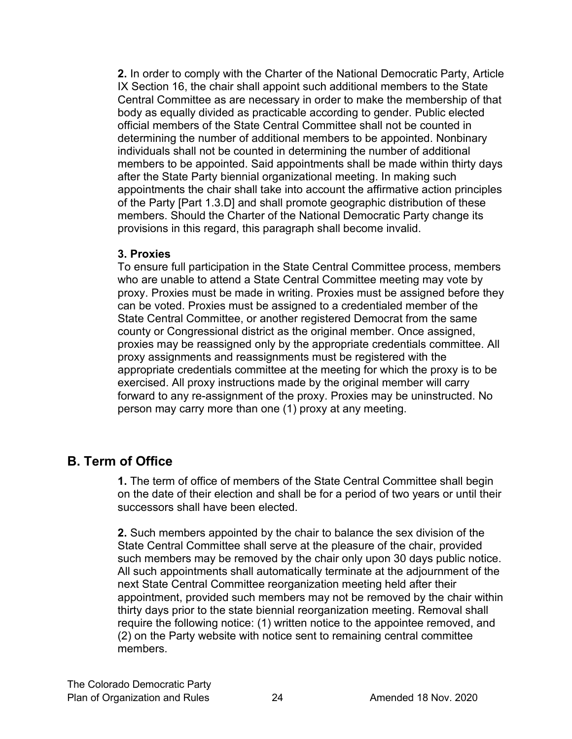**2.** In order to comply with the Charter of the National Democratic Party, Article IX Section 16, the chair shall appoint such additional members to the State Central Committee as are necessary in order to make the membership of that body as equally divided as practicable according to gender. Public elected official members of the State Central Committee shall not be counted in determining the number of additional members to be appointed. Nonbinary individuals shall not be counted in determining the number of additional members to be appointed. Said appointments shall be made within thirty days after the State Party biennial organizational meeting. In making such appointments the chair shall take into account the affirmative action principles of the Party [Part 1.3.D] and shall promote geographic distribution of these members. Should the Charter of the National Democratic Party change its provisions in this regard, this paragraph shall become invalid.

#### **3. Proxies**

To ensure full participation in the State Central Committee process, members who are unable to attend a State Central Committee meeting may vote by proxy. Proxies must be made in writing. Proxies must be assigned before they can be voted. Proxies must be assigned to a credentialed member of the State Central Committee, or another registered Democrat from the same county or Congressional district as the original member. Once assigned, proxies may be reassigned only by the appropriate credentials committee. All proxy assignments and reassignments must be registered with the appropriate credentials committee at the meeting for which the proxy is to be exercised. All proxy instructions made by the original member will carry forward to any re-assignment of the proxy. Proxies may be uninstructed. No person may carry more than one (1) proxy at any meeting.

# <span id="page-23-0"></span>**B. Term of Office**

**1.** The term of office of members of the State Central Committee shall begin on the date of their election and shall be for a period of two years or until their successors shall have been elected.

**2.** Such members appointed by the chair to balance the sex division of the State Central Committee shall serve at the pleasure of the chair, provided such members may be removed by the chair only upon 30 days public notice. All such appointments shall automatically terminate at the adjournment of the next State Central Committee reorganization meeting held after their appointment, provided such members may not be removed by the chair within thirty days prior to the state biennial reorganization meeting. Removal shall require the following notice: (1) written notice to the appointee removed, and (2) on the Party website with notice sent to remaining central committee members.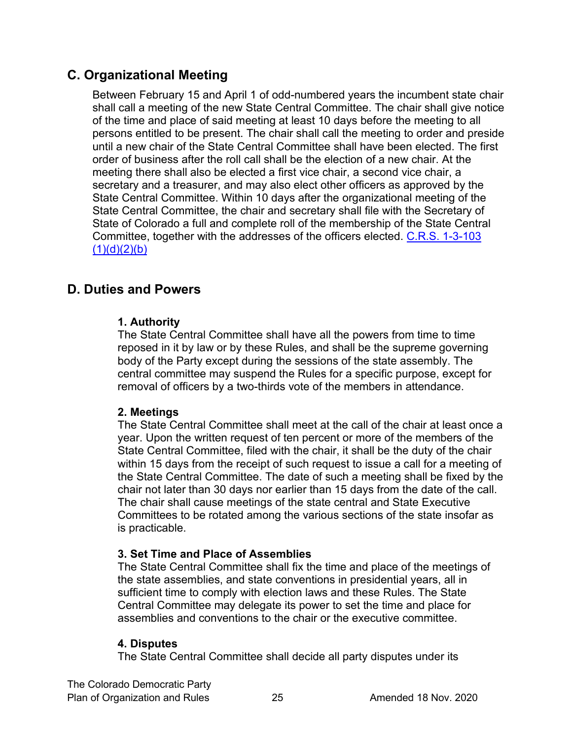# <span id="page-24-0"></span>**C. Organizational Meeting**

Between February 15 and April 1 of odd-numbered years the incumbent state chair shall call a meeting of the new State Central Committee. The chair shall give notice of the time and place of said meeting at least 10 days before the meeting to all persons entitled to be present. The chair shall call the meeting to order and preside until a new chair of the State Central Committee shall have been elected. The first order of business after the roll call shall be the election of a new chair. At the meeting there shall also be elected a first vice chair, a second vice chair, a secretary and a treasurer, and may also elect other officers as approved by the State Central Committee. Within 10 days after the organizational meeting of the State Central Committee, the chair and secretary shall file with the Secretary of State of Colorado a full and complete roll of the membership of the State Central Committee, together with the addresses of the officers elected. [C.R.S. 1-3-103](https://codes.findlaw.com/co/title-1-elections/co-rev-st-sect-1-3-103.html)   $(1)(d)(2)(b)$ 

# <span id="page-24-1"></span>**D. Duties and Powers**

#### **1. Authority**

The State Central Committee shall have all the powers from time to time reposed in it by law or by these Rules, and shall be the supreme governing body of the Party except during the sessions of the state assembly. The central committee may suspend the Rules for a specific purpose, except for removal of officers by a two-thirds vote of the members in attendance.

#### **2. Meetings**

The State Central Committee shall meet at the call of the chair at least once a year. Upon the written request of ten percent or more of the members of the State Central Committee, filed with the chair, it shall be the duty of the chair within 15 days from the receipt of such request to issue a call for a meeting of the State Central Committee. The date of such a meeting shall be fixed by the chair not later than 30 days nor earlier than 15 days from the date of the call. The chair shall cause meetings of the state central and State Executive Committees to be rotated among the various sections of the state insofar as is practicable.

#### **3. Set Time and Place of Assemblies**

The State Central Committee shall fix the time and place of the meetings of the state assemblies, and state conventions in presidential years, all in sufficient time to comply with election laws and these Rules. The State Central Committee may delegate its power to set the time and place for assemblies and conventions to the chair or the executive committee.

#### **4. Disputes**

The State Central Committee shall decide all party disputes under its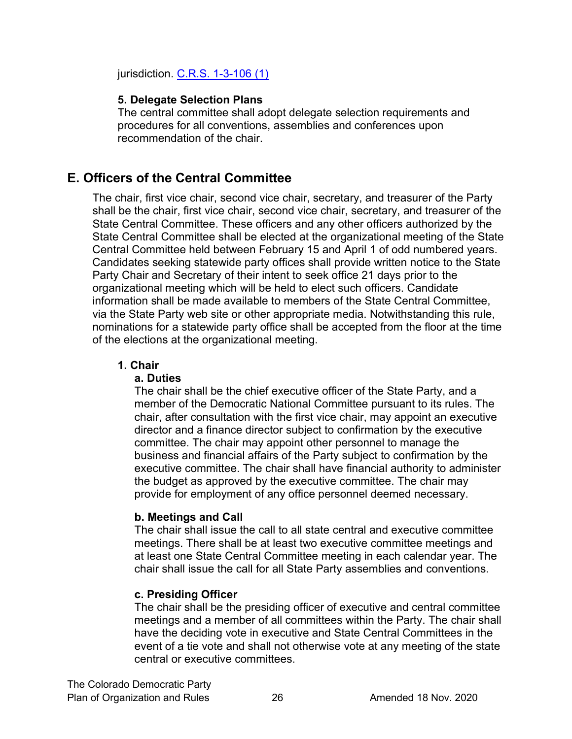jurisdiction. [C.R.S. 1-3-106 \(1\)](https://codes.findlaw.com/co/title-1-elections/co-rev-st-sect-1-3-106.html)

#### **5. Delegate Selection Plans**

The central committee shall adopt delegate selection requirements and procedures for all conventions, assemblies and conferences upon recommendation of the chair.

# <span id="page-25-0"></span>**E. Officers of the Central Committee**

The chair, first vice chair, second vice chair, secretary, and treasurer of the Party shall be the chair, first vice chair, second vice chair, secretary, and treasurer of the State Central Committee. These officers and any other officers authorized by the State Central Committee shall be elected at the organizational meeting of the State Central Committee held between February 15 and April 1 of odd numbered years. Candidates seeking statewide party offices shall provide written notice to the State Party Chair and Secretary of their intent to seek office 21 days prior to the organizational meeting which will be held to elect such officers. Candidate information shall be made available to members of the State Central Committee, via the State Party web site or other appropriate media. Notwithstanding this rule, nominations for a statewide party office shall be accepted from the floor at the time of the elections at the organizational meeting.

#### **1. Chair**

#### **a. Duties**

The chair shall be the chief executive officer of the State Party, and a member of the Democratic National Committee pursuant to its rules. The chair, after consultation with the first vice chair, may appoint an executive director and a finance director subject to confirmation by the executive committee. The chair may appoint other personnel to manage the business and financial affairs of the Party subject to confirmation by the executive committee. The chair shall have financial authority to administer the budget as approved by the executive committee. The chair may provide for employment of any office personnel deemed necessary.

#### **b. Meetings and Call**

The chair shall issue the call to all state central and executive committee meetings. There shall be at least two executive committee meetings and at least one State Central Committee meeting in each calendar year. The chair shall issue the call for all State Party assemblies and conventions.

### **c. Presiding Officer**

The chair shall be the presiding officer of executive and central committee meetings and a member of all committees within the Party. The chair shall have the deciding vote in executive and State Central Committees in the event of a tie vote and shall not otherwise vote at any meeting of the state central or executive committees.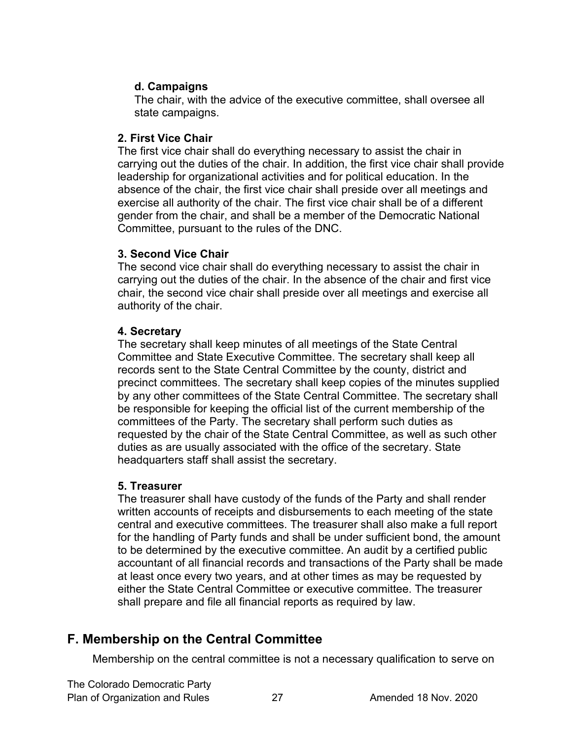#### **d. Campaigns**

The chair, with the advice of the executive committee, shall oversee all state campaigns.

#### **2. First Vice Chair**

The first vice chair shall do everything necessary to assist the chair in carrying out the duties of the chair. In addition, the first vice chair shall provide leadership for organizational activities and for political education. In the absence of the chair, the first vice chair shall preside over all meetings and exercise all authority of the chair. The first vice chair shall be of a different gender from the chair, and shall be a member of the Democratic National Committee, pursuant to the rules of the DNC.

#### **3. Second Vice Chair**

The second vice chair shall do everything necessary to assist the chair in carrying out the duties of the chair. In the absence of the chair and first vice chair, the second vice chair shall preside over all meetings and exercise all authority of the chair.

#### **4. Secretary**

The secretary shall keep minutes of all meetings of the State Central Committee and State Executive Committee. The secretary shall keep all records sent to the State Central Committee by the county, district and precinct committees. The secretary shall keep copies of the minutes supplied by any other committees of the State Central Committee. The secretary shall be responsible for keeping the official list of the current membership of the committees of the Party. The secretary shall perform such duties as requested by the chair of the State Central Committee, as well as such other duties as are usually associated with the office of the secretary. State headquarters staff shall assist the secretary.

#### **5. Treasurer**

The treasurer shall have custody of the funds of the Party and shall render written accounts of receipts and disbursements to each meeting of the state central and executive committees. The treasurer shall also make a full report for the handling of Party funds and shall be under sufficient bond, the amount to be determined by the executive committee. An audit by a certified public accountant of all financial records and transactions of the Party shall be made at least once every two years, and at other times as may be requested by either the State Central Committee or executive committee. The treasurer shall prepare and file all financial reports as required by law.

# <span id="page-26-0"></span>**F. Membership on the Central Committee**

Membership on the central committee is not a necessary qualification to serve on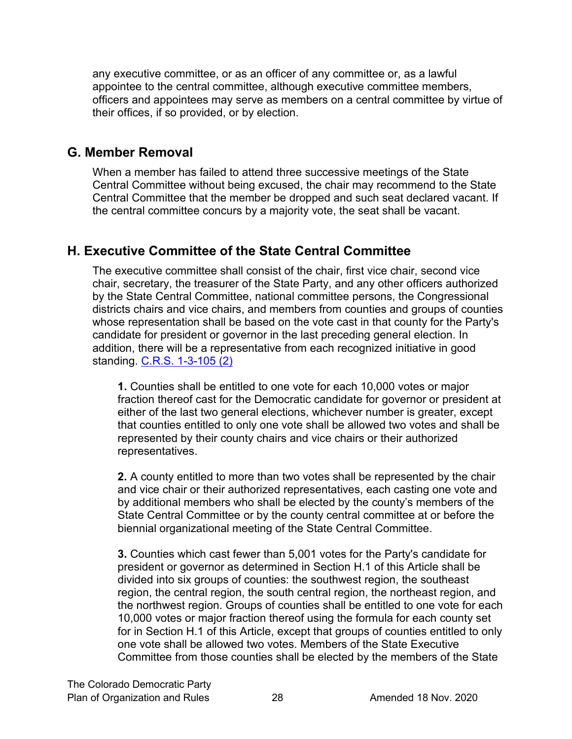any executive committee, or as an officer of any committee or, as a lawful appointee to the central committee, although executive committee members, officers and appointees may serve as members on a central committee by virtue of their offices, if so provided, or by election.

# <span id="page-27-0"></span>**G. Member Removal**

When a member has failed to attend three successive meetings of the State Central Committee without being excused, the chair may recommend to the State Central Committee that the member be dropped and such seat declared vacant. If the central committee concurs by a majority vote, the seat shall be vacant.

# <span id="page-27-1"></span>**H. Executive Committee of the State Central Committee**

The executive committee shall consist of the chair, first vice chair, second vice chair, secretary, the treasurer of the State Party, and any other officers authorized by the State Central Committee, national committee persons, the Congressional districts chairs and vice chairs, and members from counties and groups of counties whose representation shall be based on the vote cast in that county for the Party's candidate for president or governor in the last preceding general election. In addition, there will be a representative from each recognized initiative in good standing. [C.R.S. 1-3-105 \(2\)](https://codes.findlaw.com/co/title-1-elections/co-rev-st-sect-1-3-105.html)

**1.** Counties shall be entitled to one vote for each 10,000 votes or major fraction thereof cast for the Democratic candidate for governor or president at either of the last two general elections, whichever number is greater, except that counties entitled to only one vote shall be allowed two votes and shall be represented by their county chairs and vice chairs or their authorized representatives.

**2.** A county entitled to more than two votes shall be represented by the chair and vice chair or their authorized representatives, each casting one vote and by additional members who shall be elected by the county's members of the State Central Committee or by the county central committee at or before the biennial organizational meeting of the State Central Committee.

**3.** Counties which cast fewer than 5,001 votes for the Party's candidate for president or governor as determined in Section H.1 of this Article shall be divided into six groups of counties: the southwest region, the southeast region, the central region, the south central region, the northeast region, and the northwest region. Groups of counties shall be entitled to one vote for each 10,000 votes or major fraction thereof using the formula for each county set for in Section H.1 of this Article, except that groups of counties entitled to only one vote shall be allowed two votes. Members of the State Executive Committee from those counties shall be elected by the members of the State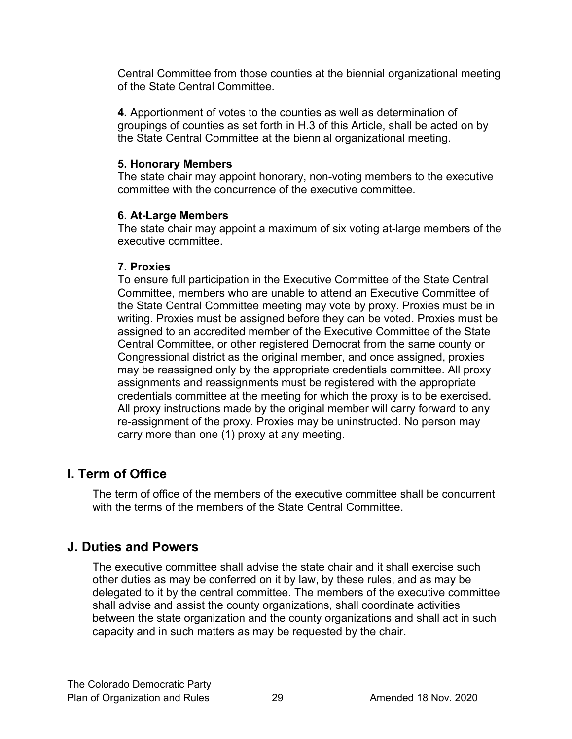Central Committee from those counties at the biennial organizational meeting of the State Central Committee.

**4.** Apportionment of votes to the counties as well as determination of groupings of counties as set forth in H.3 of this Article, shall be acted on by the State Central Committee at the biennial organizational meeting.

#### **5. Honorary Members**

The state chair may appoint honorary, non-voting members to the executive committee with the concurrence of the executive committee.

#### **6. At-Large Members**

The state chair may appoint a maximum of six voting at-large members of the executive committee.

#### **7. Proxies**

To ensure full participation in the Executive Committee of the State Central Committee, members who are unable to attend an Executive Committee of the State Central Committee meeting may vote by proxy. Proxies must be in writing. Proxies must be assigned before they can be voted. Proxies must be assigned to an accredited member of the Executive Committee of the State Central Committee, or other registered Democrat from the same county or Congressional district as the original member, and once assigned, proxies may be reassigned only by the appropriate credentials committee. All proxy assignments and reassignments must be registered with the appropriate credentials committee at the meeting for which the proxy is to be exercised. All proxy instructions made by the original member will carry forward to any re-assignment of the proxy. Proxies may be uninstructed. No person may carry more than one (1) proxy at any meeting.

# <span id="page-28-0"></span>**I. Term of Office**

The term of office of the members of the executive committee shall be concurrent with the terms of the members of the State Central Committee.

# <span id="page-28-1"></span>**J. Duties and Powers**

The executive committee shall advise the state chair and it shall exercise such other duties as may be conferred on it by law, by these rules, and as may be delegated to it by the central committee. The members of the executive committee shall advise and assist the county organizations, shall coordinate activities between the state organization and the county organizations and shall act in such capacity and in such matters as may be requested by the chair.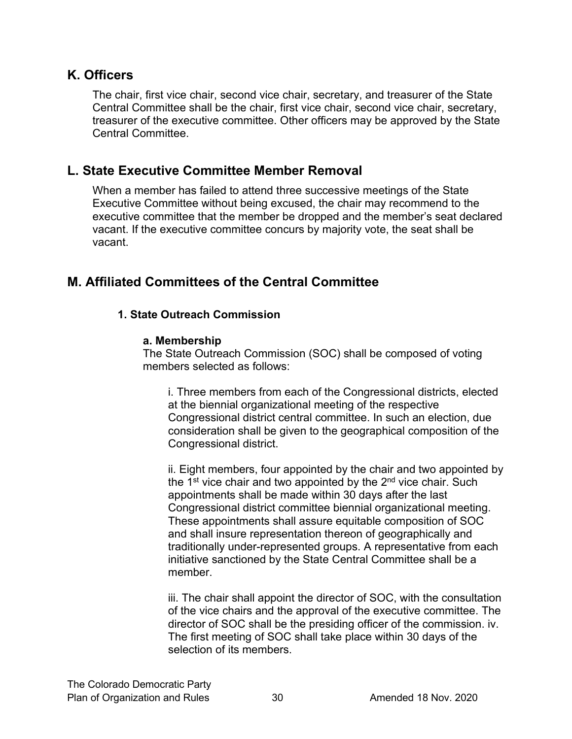## <span id="page-29-0"></span>**K. Officers**

The chair, first vice chair, second vice chair, secretary, and treasurer of the State Central Committee shall be the chair, first vice chair, second vice chair, secretary, treasurer of the executive committee. Other officers may be approved by the State Central Committee.

# <span id="page-29-1"></span>**L. State Executive Committee Member Removal**

When a member has failed to attend three successive meetings of the State Executive Committee without being excused, the chair may recommend to the executive committee that the member be dropped and the member's seat declared vacant. If the executive committee concurs by majority vote, the seat shall be vacant.

# <span id="page-29-2"></span>**M. Affiliated Committees of the Central Committee**

#### **1. State Outreach Commission**

#### **a. Membership**

The State Outreach Commission (SOC) shall be composed of voting members selected as follows:

i. Three members from each of the Congressional districts, elected at the biennial organizational meeting of the respective Congressional district central committee. In such an election, due consideration shall be given to the geographical composition of the Congressional district.

ii. Eight members, four appointed by the chair and two appointed by the  $1<sup>st</sup>$  vice chair and two appointed by the  $2<sup>nd</sup>$  vice chair. Such appointments shall be made within 30 days after the last Congressional district committee biennial organizational meeting. These appointments shall assure equitable composition of SOC and shall insure representation thereon of geographically and traditionally under-represented groups. A representative from each initiative sanctioned by the State Central Committee shall be a member.

iii. The chair shall appoint the director of SOC, with the consultation of the vice chairs and the approval of the executive committee. The director of SOC shall be the presiding officer of the commission. iv. The first meeting of SOC shall take place within 30 days of the selection of its members.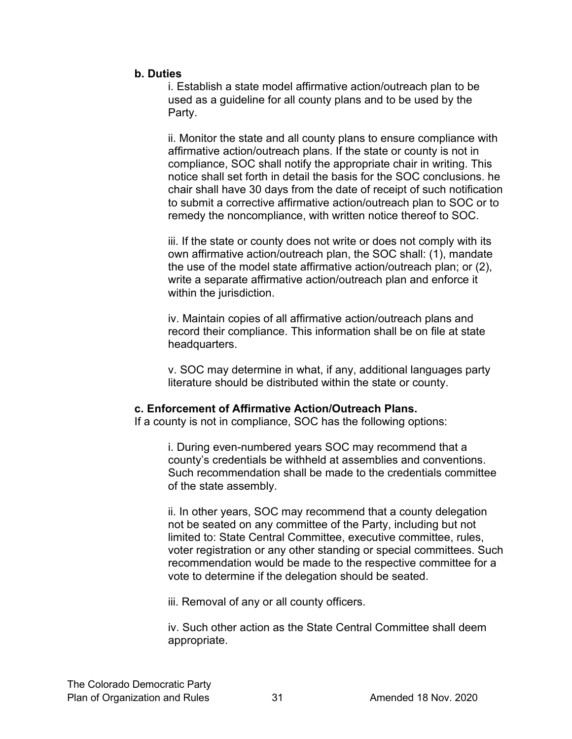#### **b. Duties**

i. Establish a state model affirmative action/outreach plan to be used as a guideline for all county plans and to be used by the Party.

ii. Monitor the state and all county plans to ensure compliance with affirmative action/outreach plans. If the state or county is not in compliance, SOC shall notify the appropriate chair in writing. This notice shall set forth in detail the basis for the SOC conclusions. he chair shall have 30 days from the date of receipt of such notification to submit a corrective affirmative action/outreach plan to SOC or to remedy the noncompliance, with written notice thereof to SOC.

iii. If the state or county does not write or does not comply with its own affirmative action/outreach plan, the SOC shall: (1), mandate the use of the model state affirmative action/outreach plan; or (2), write a separate affirmative action/outreach plan and enforce it within the jurisdiction.

iv. Maintain copies of all affirmative action/outreach plans and record their compliance. This information shall be on file at state headquarters.

v. SOC may determine in what, if any, additional languages party literature should be distributed within the state or county.

#### **c. Enforcement of Affirmative Action/Outreach Plans.**

If a county is not in compliance, SOC has the following options:

i. During even-numbered years SOC may recommend that a county's credentials be withheld at assemblies and conventions. Such recommendation shall be made to the credentials committee of the state assembly.

ii. In other years, SOC may recommend that a county delegation not be seated on any committee of the Party, including but not limited to: State Central Committee, executive committee, rules, voter registration or any other standing or special committees. Such recommendation would be made to the respective committee for a vote to determine if the delegation should be seated.

iii. Removal of any or all county officers.

iv. Such other action as the State Central Committee shall deem appropriate.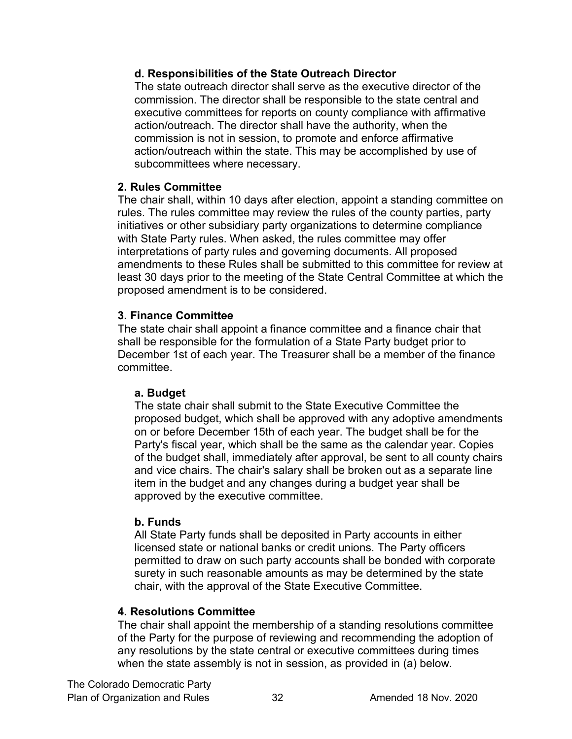#### **d. Responsibilities of the State Outreach Director**

The state outreach director shall serve as the executive director of the commission. The director shall be responsible to the state central and executive committees for reports on county compliance with affirmative action/outreach. The director shall have the authority, when the commission is not in session, to promote and enforce affirmative action/outreach within the state. This may be accomplished by use of subcommittees where necessary.

#### **2. Rules Committee**

The chair shall, within 10 days after election, appoint a standing committee on rules. The rules committee may review the rules of the county parties, party initiatives or other subsidiary party organizations to determine compliance with State Party rules. When asked, the rules committee may offer interpretations of party rules and governing documents. All proposed amendments to these Rules shall be submitted to this committee for review at least 30 days prior to the meeting of the State Central Committee at which the proposed amendment is to be considered.

#### **3. Finance Committee**

The state chair shall appoint a finance committee and a finance chair that shall be responsible for the formulation of a State Party budget prior to December 1st of each year. The Treasurer shall be a member of the finance committee.

#### **a. Budget**

The state chair shall submit to the State Executive Committee the proposed budget, which shall be approved with any adoptive amendments on or before December 15th of each year. The budget shall be for the Party's fiscal year, which shall be the same as the calendar year. Copies of the budget shall, immediately after approval, be sent to all county chairs and vice chairs. The chair's salary shall be broken out as a separate line item in the budget and any changes during a budget year shall be approved by the executive committee.

#### **b. Funds**

All State Party funds shall be deposited in Party accounts in either licensed state or national banks or credit unions. The Party officers permitted to draw on such party accounts shall be bonded with corporate surety in such reasonable amounts as may be determined by the state chair, with the approval of the State Executive Committee.

#### **4. Resolutions Committee**

The chair shall appoint the membership of a standing resolutions committee of the Party for the purpose of reviewing and recommending the adoption of any resolutions by the state central or executive committees during times when the state assembly is not in session, as provided in (a) below.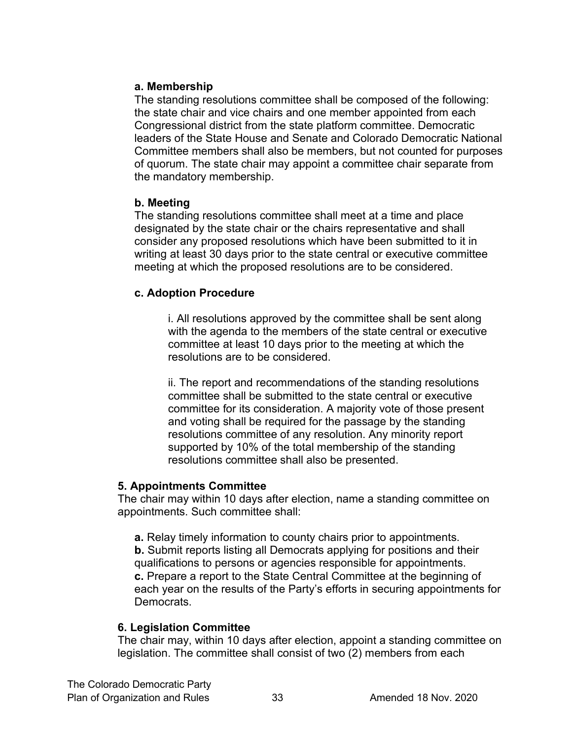#### **a. Membership**

The standing resolutions committee shall be composed of the following: the state chair and vice chairs and one member appointed from each Congressional district from the state platform committee. Democratic leaders of the State House and Senate and Colorado Democratic National Committee members shall also be members, but not counted for purposes of quorum. The state chair may appoint a committee chair separate from the mandatory membership.

#### **b. Meeting**

The standing resolutions committee shall meet at a time and place designated by the state chair or the chairs representative and shall consider any proposed resolutions which have been submitted to it in writing at least 30 days prior to the state central or executive committee meeting at which the proposed resolutions are to be considered.

#### **c. Adoption Procedure**

i. All resolutions approved by the committee shall be sent along with the agenda to the members of the state central or executive committee at least 10 days prior to the meeting at which the resolutions are to be considered.

ii. The report and recommendations of the standing resolutions committee shall be submitted to the state central or executive committee for its consideration. A majority vote of those present and voting shall be required for the passage by the standing resolutions committee of any resolution. Any minority report supported by 10% of the total membership of the standing resolutions committee shall also be presented.

#### **5. Appointments Committee**

The chair may within 10 days after election, name a standing committee on appointments. Such committee shall:

**a.** Relay timely information to county chairs prior to appointments. **b.** Submit reports listing all Democrats applying for positions and their qualifications to persons or agencies responsible for appointments. **c.** Prepare a report to the State Central Committee at the beginning of each year on the results of the Party's efforts in securing appointments for **Democrats** 

### **6. Legislation Committee**

The chair may, within 10 days after election, appoint a standing committee on legislation. The committee shall consist of two (2) members from each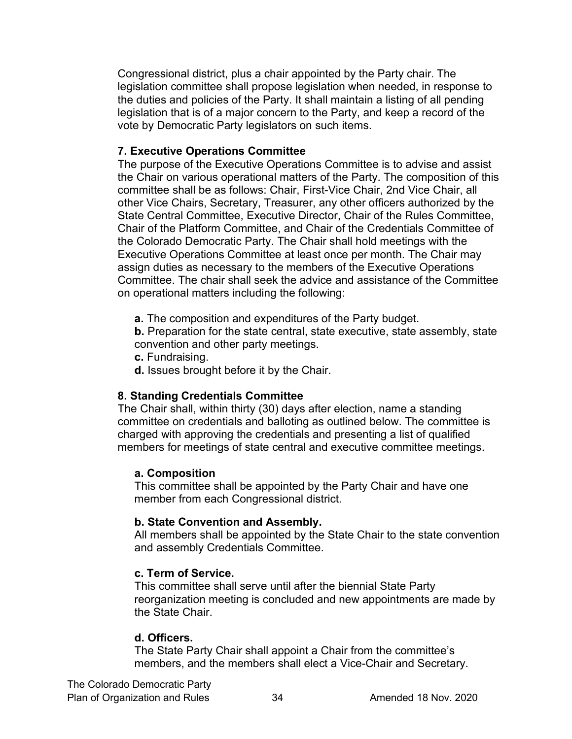Congressional district, plus a chair appointed by the Party chair. The legislation committee shall propose legislation when needed, in response to the duties and policies of the Party. It shall maintain a listing of all pending legislation that is of a major concern to the Party, and keep a record of the vote by Democratic Party legislators on such items.

#### **7. Executive Operations Committee**

The purpose of the Executive Operations Committee is to advise and assist the Chair on various operational matters of the Party. The composition of this committee shall be as follows: Chair, First-Vice Chair, 2nd Vice Chair, all other Vice Chairs, Secretary, Treasurer, any other officers authorized by the State Central Committee, Executive Director, Chair of the Rules Committee, Chair of the Platform Committee, and Chair of the Credentials Committee of the Colorado Democratic Party. The Chair shall hold meetings with the Executive Operations Committee at least once per month. The Chair may assign duties as necessary to the members of the Executive Operations Committee. The chair shall seek the advice and assistance of the Committee on operational matters including the following:

**a.** The composition and expenditures of the Party budget.

**b.** Preparation for the state central, state executive, state assembly, state convention and other party meetings.

- **c.** Fundraising.
- **d.** Issues brought before it by the Chair.

#### **8. Standing Credentials Committee**

The Chair shall, within thirty (30) days after election, name a standing committee on credentials and balloting as outlined below. The committee is charged with approving the credentials and presenting a list of qualified members for meetings of state central and executive committee meetings.

#### **a. Composition**

This committee shall be appointed by the Party Chair and have one member from each Congressional district.

#### **b. State Convention and Assembly.**

All members shall be appointed by the State Chair to the state convention and assembly Credentials Committee.

#### **c. Term of Service.**

This committee shall serve until after the biennial State Party reorganization meeting is concluded and new appointments are made by the State Chair.

#### **d. Officers.**

The State Party Chair shall appoint a Chair from the committee's members, and the members shall elect a Vice-Chair and Secretary.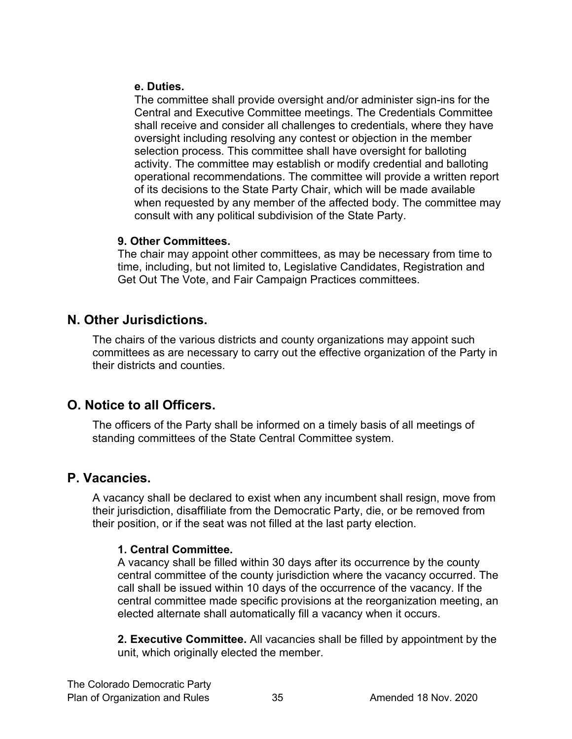#### **e. Duties.**

The committee shall provide oversight and/or administer sign-ins for the Central and Executive Committee meetings. The Credentials Committee shall receive and consider all challenges to credentials, where they have oversight including resolving any contest or objection in the member selection process. This committee shall have oversight for balloting activity. The committee may establish or modify credential and balloting operational recommendations. The committee will provide a written report of its decisions to the State Party Chair, which will be made available when requested by any member of the affected body. The committee may consult with any political subdivision of the State Party.

#### **9. Other Committees.**

The chair may appoint other committees, as may be necessary from time to time, including, but not limited to, Legislative Candidates, Registration and Get Out The Vote, and Fair Campaign Practices committees.

# <span id="page-34-0"></span>**N. Other Jurisdictions.**

The chairs of the various districts and county organizations may appoint such committees as are necessary to carry out the effective organization of the Party in their districts and counties.

# <span id="page-34-1"></span>**O. Notice to all Officers.**

The officers of the Party shall be informed on a timely basis of all meetings of standing committees of the State Central Committee system.

# <span id="page-34-2"></span>**P. Vacancies.**

A vacancy shall be declared to exist when any incumbent shall resign, move from their jurisdiction, disaffiliate from the Democratic Party, die, or be removed from their position, or if the seat was not filled at the last party election.

### **1. Central Committee.**

A vacancy shall be filled within 30 days after its occurrence by the county central committee of the county jurisdiction where the vacancy occurred. The call shall be issued within 10 days of the occurrence of the vacancy. If the central committee made specific provisions at the reorganization meeting, an elected alternate shall automatically fill a vacancy when it occurs.

**2. Executive Committee.** All vacancies shall be filled by appointment by the unit, which originally elected the member.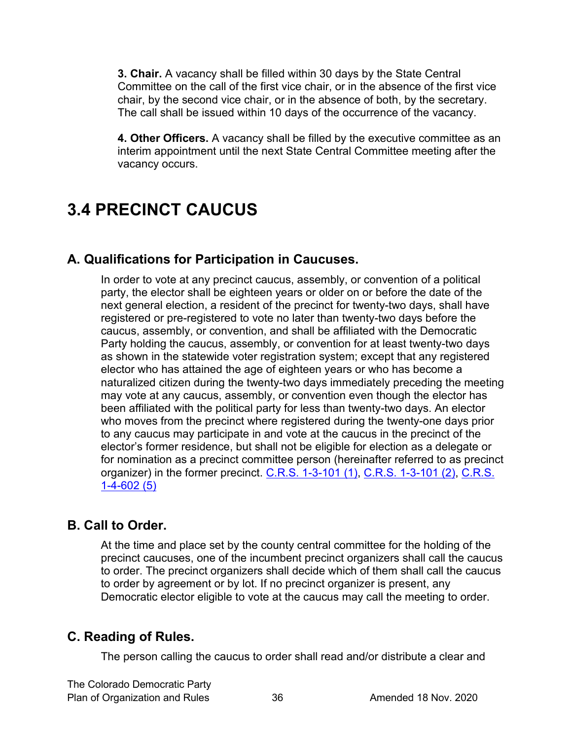**3. Chair.** A vacancy shall be filled within 30 days by the State Central Committee on the call of the first vice chair, or in the absence of the first vice chair, by the second vice chair, or in the absence of both, by the secretary. The call shall be issued within 10 days of the occurrence of the vacancy.

**4. Other Officers.** A vacancy shall be filled by the executive committee as an interim appointment until the next State Central Committee meeting after the vacancy occurs.

# <span id="page-35-0"></span>**3.4 PRECINCT CAUCUS**

# <span id="page-35-1"></span>**A. Qualifications for Participation in Caucuses.**

In order to vote at any precinct caucus, assembly, or convention of a political party, the elector shall be eighteen years or older on or before the date of the next general election, a resident of the precinct for twenty-two days, shall have registered or pre-registered to vote no later than twenty-two days before the caucus, assembly, or convention, and shall be affiliated with the Democratic Party holding the caucus, assembly, or convention for at least twenty-two days as shown in the statewide voter registration system; except that any registered elector who has attained the age of eighteen years or who has become a naturalized citizen during the twenty-two days immediately preceding the meeting may vote at any caucus, assembly, or convention even though the elector has been affiliated with the political party for less than twenty-two days. An elector who moves from the precinct where registered during the twenty-one days prior to any caucus may participate in and vote at the caucus in the precinct of the elector's former residence, but shall not be eligible for election as a delegate or for nomination as a precinct committee person (hereinafter referred to as precinct organizer) in the former precinct. [C.R.S. 1-3-101 \(1\),](https://codes.findlaw.com/co/title-1-elections/co-rev-st-sect-1-3-101.html) [C.R.S. 1-3-101 \(2\),](https://codes.findlaw.com/co/title-1-elections/co-rev-st-sect-1-3-106.html) [C.R.S.](https://codes.findlaw.com/co/title-1-elections/co-rev-st-sect-1-4-602.html)  [1-4-602 \(5\)](https://codes.findlaw.com/co/title-1-elections/co-rev-st-sect-1-4-602.html)

# <span id="page-35-2"></span>**B. Call to Order.**

At the time and place set by the county central committee for the holding of the precinct caucuses, one of the incumbent precinct organizers shall call the caucus to order. The precinct organizers shall decide which of them shall call the caucus to order by agreement or by lot. If no precinct organizer is present, any Democratic elector eligible to vote at the caucus may call the meeting to order.

# <span id="page-35-3"></span>**C. Reading of Rules.**

The person calling the caucus to order shall read and/or distribute a clear and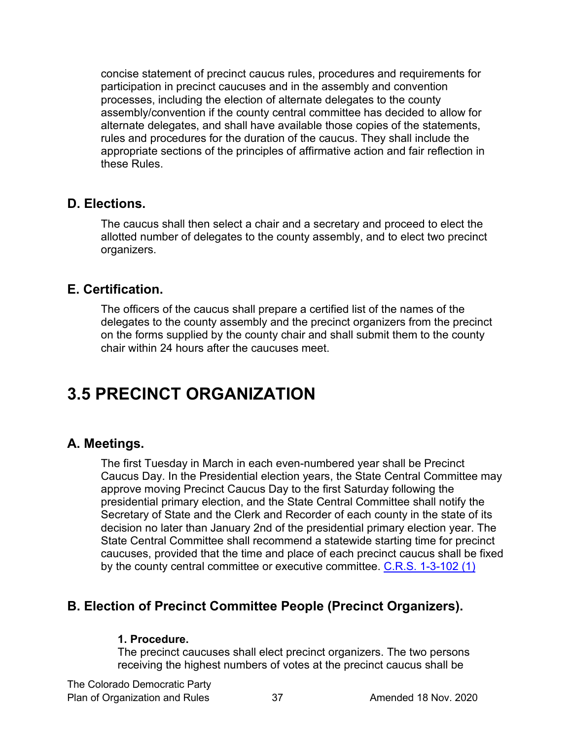concise statement of precinct caucus rules, procedures and requirements for participation in precinct caucuses and in the assembly and convention processes, including the election of alternate delegates to the county assembly/convention if the county central committee has decided to allow for alternate delegates, and shall have available those copies of the statements, rules and procedures for the duration of the caucus. They shall include the appropriate sections of the principles of affirmative action and fair reflection in these Rules.

### <span id="page-36-0"></span>**D. Elections.**

The caucus shall then select a chair and a secretary and proceed to elect the allotted number of delegates to the county assembly, and to elect two precinct organizers.

# <span id="page-36-1"></span>**E. Certification.**

The officers of the caucus shall prepare a certified list of the names of the delegates to the county assembly and the precinct organizers from the precinct on the forms supplied by the county chair and shall submit them to the county chair within 24 hours after the caucuses meet.

# <span id="page-36-2"></span>**3.5 PRECINCT ORGANIZATION**

# <span id="page-36-3"></span>**A. Meetings.**

The first Tuesday in March in each even-numbered year shall be Precinct Caucus Day. In the Presidential election years, the State Central Committee may approve moving Precinct Caucus Day to the first Saturday following the presidential primary election, and the State Central Committee shall notify the Secretary of State and the Clerk and Recorder of each county in the state of its decision no later than January 2nd of the presidential primary election year. The State Central Committee shall recommend a statewide starting time for precinct caucuses, provided that the time and place of each precinct caucus shall be fixed by the county central committee or executive committee. [C.R.S. 1-3-102 \(1\)](https://codes.findlaw.com/co/title-1-elections/co-rev-st-sect-1-3-102.html)

# <span id="page-36-4"></span>**B. Election of Precinct Committee People (Precinct Organizers).**

#### **1. Procedure.**

The precinct caucuses shall elect precinct organizers. The two persons receiving the highest numbers of votes at the precinct caucus shall be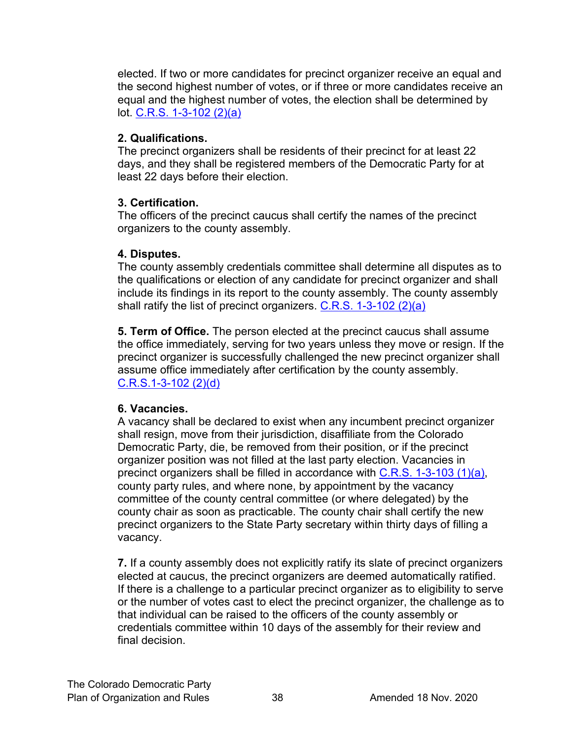elected. If two or more candidates for precinct organizer receive an equal and the second highest number of votes, or if three or more candidates receive an equal and the highest number of votes, the election shall be determined by lot. [C.R.S. 1-3-102 \(2\)\(a\)](https://codes.findlaw.com/co/title-1-elections/co-rev-st-sect-1-3-102.html)

#### **2. Qualifications.**

The precinct organizers shall be residents of their precinct for at least 22 days, and they shall be registered members of the Democratic Party for at least 22 days before their election.

#### **3. Certification.**

The officers of the precinct caucus shall certify the names of the precinct organizers to the county assembly.

#### **4. Disputes.**

The county assembly credentials committee shall determine all disputes as to the qualifications or election of any candidate for precinct organizer and shall include its findings in its report to the county assembly. The county assembly shall ratify the list of precinct organizers. [C.R.S. 1-3-102 \(2\)\(a\)](https://codes.findlaw.com/co/title-1-elections/co-rev-st-sect-1-3-102.html)

**5. Term of Office.** The person elected at the precinct caucus shall assume the office immediately, serving for two years unless they move or resign. If the precinct organizer is successfully challenged the new precinct organizer shall assume office immediately after certification by the county assembly. [C.R.S.1-3-102 \(2\)\(d\)](https://codes.findlaw.com/co/title-1-elections/co-rev-st-sect-1-3-102.html)

#### **6. Vacancies.**

A vacancy shall be declared to exist when any incumbent precinct organizer shall resign, move from their jurisdiction, disaffiliate from the Colorado Democratic Party, die, be removed from their position, or if the precinct organizer position was not filled at the last party election. Vacancies in precinct organizers shall be filled in accordance with  $C.R.S. 1-3-103 (1)(a)$ , county party rules, and where none, by appointment by the vacancy committee of the county central committee (or where delegated) by the county chair as soon as practicable. The county chair shall certify the new precinct organizers to the State Party secretary within thirty days of filling a vacancy.

**7.** If a county assembly does not explicitly ratify its slate of precinct organizers elected at caucus, the precinct organizers are deemed automatically ratified. If there is a challenge to a particular precinct organizer as to eligibility to serve or the number of votes cast to elect the precinct organizer, the challenge as to that individual can be raised to the officers of the county assembly or credentials committee within 10 days of the assembly for their review and final decision.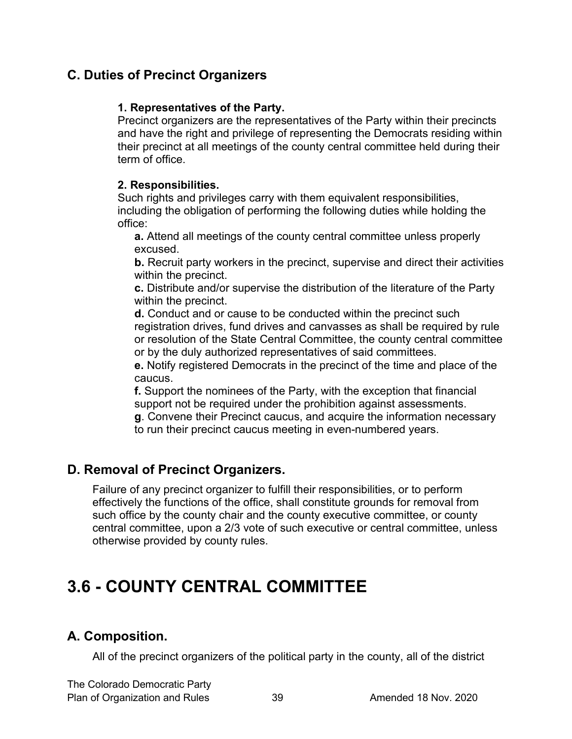# <span id="page-38-0"></span>**C. Duties of Precinct Organizers**

#### **1. Representatives of the Party.**

Precinct organizers are the representatives of the Party within their precincts and have the right and privilege of representing the Democrats residing within their precinct at all meetings of the county central committee held during their term of office.

#### **2. Responsibilities.**

Such rights and privileges carry with them equivalent responsibilities, including the obligation of performing the following duties while holding the office:

**a.** Attend all meetings of the county central committee unless properly excused.

**b.** Recruit party workers in the precinct, supervise and direct their activities within the precinct.

**c.** Distribute and/or supervise the distribution of the literature of the Party within the precinct.

**d.** Conduct and or cause to be conducted within the precinct such registration drives, fund drives and canvasses as shall be required by rule or resolution of the State Central Committee, the county central committee or by the duly authorized representatives of said committees.

**e.** Notify registered Democrats in the precinct of the time and place of the caucus.

**f.** Support the nominees of the Party, with the exception that financial support not be required under the prohibition against assessments.

**g**. Convene their Precinct caucus, and acquire the information necessary to run their precinct caucus meeting in even-numbered years.

# <span id="page-38-1"></span>**D. Removal of Precinct Organizers.**

Failure of any precinct organizer to fulfill their responsibilities, or to perform effectively the functions of the office, shall constitute grounds for removal from such office by the county chair and the county executive committee, or county central committee, upon a 2/3 vote of such executive or central committee, unless otherwise provided by county rules.

# <span id="page-38-2"></span>**3.6 - COUNTY CENTRAL COMMITTEE**

# <span id="page-38-3"></span>**A. Composition.**

All of the precinct organizers of the political party in the county, all of the district

The Colorado Democratic Party Plan of Organization and Rules 39 Amended 18 Nov. 2020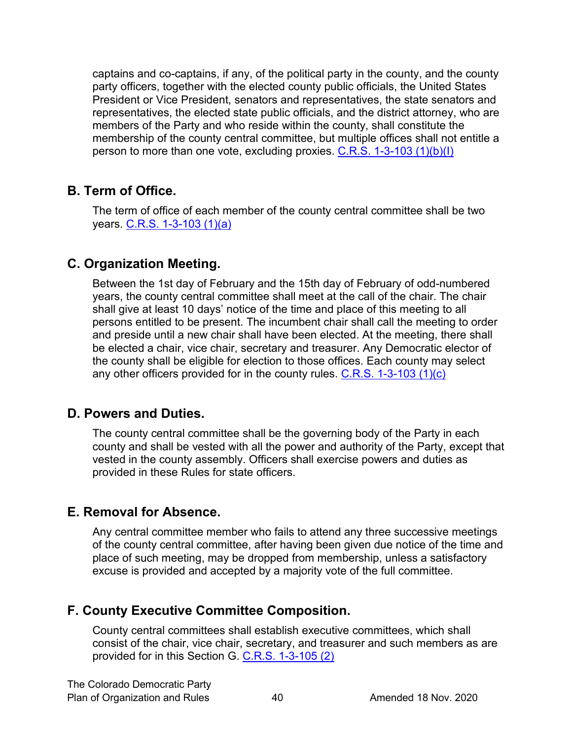captains and co-captains, if any, of the political party in the county, and the county party officers, together with the elected county public officials, the United States President or Vice President, senators and representatives, the state senators and representatives, the elected state public officials, and the district attorney, who are members of the Party and who reside within the county, shall constitute the membership of the county central committee, but multiple offices shall not entitle a person to more than one vote, excluding proxies. [C.R.S. 1-3-103 \(1\)\(b\)\(I\)](https://codes.findlaw.com/co/title-1-elections/co-rev-st-sect-1-3-103.html)

# <span id="page-39-0"></span>**B. Term of Office.**

The term of office of each member of the county central committee shall be two years. [C.R.S. 1-3-103 \(1\)\(a\)](https://codes.findlaw.com/co/title-1-elections/co-rev-st-sect-1-3-103.html)

## <span id="page-39-1"></span>**C. Organization Meeting.**

Between the 1st day of February and the 15th day of February of odd-numbered years, the county central committee shall meet at the call of the chair. The chair shall give at least 10 days' notice of the time and place of this meeting to all persons entitled to be present. The incumbent chair shall call the meeting to order and preside until a new chair shall have been elected. At the meeting, there shall be elected a chair, vice chair, secretary and treasurer. Any Democratic elector of the county shall be eligible for election to those offices. Each county may select any other officers provided for in the county rules.  $C.R.S. 1-3-103 (1)(c)$ 

### <span id="page-39-2"></span>**D. Powers and Duties.**

The county central committee shall be the governing body of the Party in each county and shall be vested with all the power and authority of the Party, except that vested in the county assembly. Officers shall exercise powers and duties as provided in these Rules for state officers.

# <span id="page-39-3"></span>**E. Removal for Absence.**

Any central committee member who fails to attend any three successive meetings of the county central committee, after having been given due notice of the time and place of such meeting, may be dropped from membership, unless a satisfactory excuse is provided and accepted by a majority vote of the full committee.

### <span id="page-39-4"></span>**F. County Executive Committee Composition.**

County central committees shall establish executive committees, which shall consist of the chair, vice chair, secretary, and treasurer and such members as are provided for in this Section G. [C.R.S. 1-3-105 \(2\)](https://codes.findlaw.com/co/title-1-elections/co-rev-st-sect-1-3-105.html)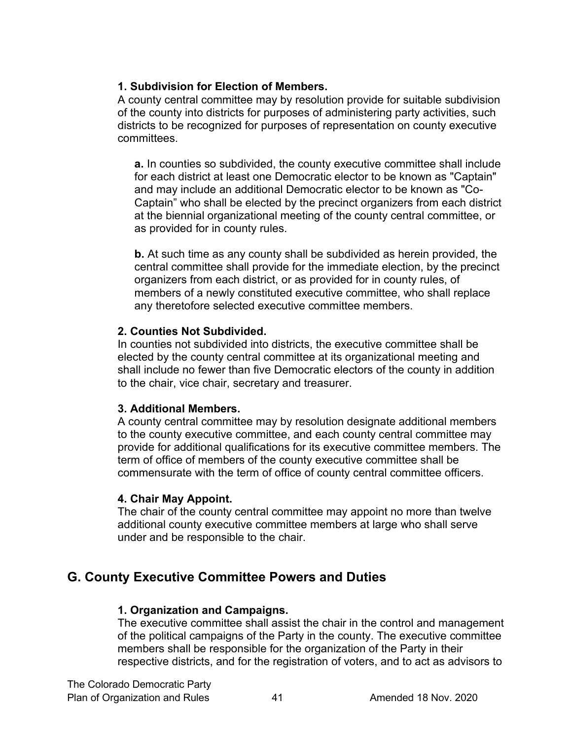#### **1. Subdivision for Election of Members.**

A county central committee may by resolution provide for suitable subdivision of the county into districts for purposes of administering party activities, such districts to be recognized for purposes of representation on county executive committees.

**a.** In counties so subdivided, the county executive committee shall include for each district at least one Democratic elector to be known as "Captain" and may include an additional Democratic elector to be known as "Co-Captain" who shall be elected by the precinct organizers from each district at the biennial organizational meeting of the county central committee, or as provided for in county rules.

**b.** At such time as any county shall be subdivided as herein provided, the central committee shall provide for the immediate election, by the precinct organizers from each district, or as provided for in county rules, of members of a newly constituted executive committee, who shall replace any theretofore selected executive committee members.

#### **2. Counties Not Subdivided.**

In counties not subdivided into districts, the executive committee shall be elected by the county central committee at its organizational meeting and shall include no fewer than five Democratic electors of the county in addition to the chair, vice chair, secretary and treasurer.

### **3. Additional Members.**

A county central committee may by resolution designate additional members to the county executive committee, and each county central committee may provide for additional qualifications for its executive committee members. The term of office of members of the county executive committee shall be commensurate with the term of office of county central committee officers.

### **4. Chair May Appoint.**

The chair of the county central committee may appoint no more than twelve additional county executive committee members at large who shall serve under and be responsible to the chair.

# <span id="page-40-0"></span>**G. County Executive Committee Powers and Duties**

### **1. Organization and Campaigns.**

The executive committee shall assist the chair in the control and management of the political campaigns of the Party in the county. The executive committee members shall be responsible for the organization of the Party in their respective districts, and for the registration of voters, and to act as advisors to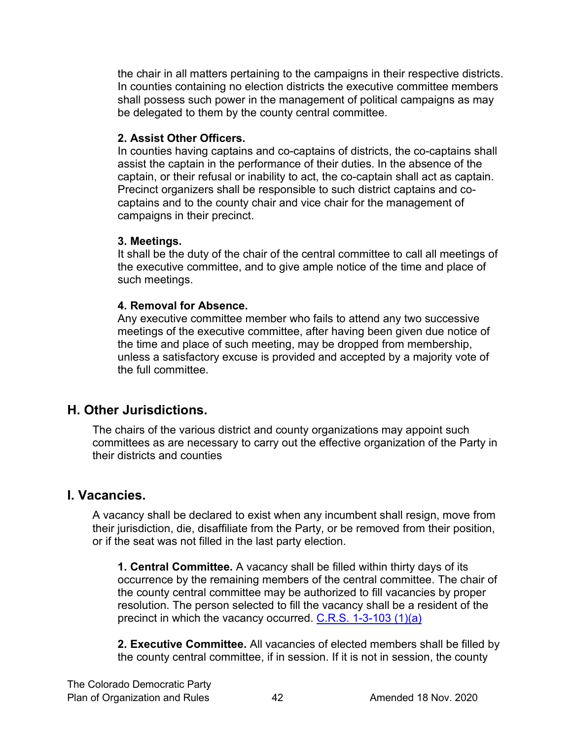the chair in all matters pertaining to the campaigns in their respective districts. In counties containing no election districts the executive committee members shall possess such power in the management of political campaigns as may be delegated to them by the county central committee.

#### **2. Assist Other Officers.**

In counties having captains and co-captains of districts, the co-captains shall assist the captain in the performance of their duties. In the absence of the captain, or their refusal or inability to act, the co-captain shall act as captain. Precinct organizers shall be responsible to such district captains and cocaptains and to the county chair and vice chair for the management of campaigns in their precinct.

#### **3. Meetings.**

It shall be the duty of the chair of the central committee to call all meetings of the executive committee, and to give ample notice of the time and place of such meetings.

### **4. Removal for Absence.**

Any executive committee member who fails to attend any two successive meetings of the executive committee, after having been given due notice of the time and place of such meeting, may be dropped from membership, unless a satisfactory excuse is provided and accepted by a majority vote of the full committee.

# <span id="page-41-0"></span>**H. Other Jurisdictions.**

The chairs of the various district and county organizations may appoint such committees as are necessary to carry out the effective organization of the Party in their districts and counties

# <span id="page-41-1"></span>**I. Vacancies.**

A vacancy shall be declared to exist when any incumbent shall resign, move from their jurisdiction, die, disaffiliate from the Party, or be removed from their position, or if the seat was not filled in the last party election.

**1. Central Committee.** A vacancy shall be filled within thirty days of its occurrence by the remaining members of the central committee. The chair of the county central committee may be authorized to fill vacancies by proper resolution. The person selected to fill the vacancy shall be a resident of the precinct in which the vacancy occurred. [C.R.S. 1-3-103 \(1\)\(a\)](https://codes.findlaw.com/co/title-1-elections/co-rev-st-sect-1-3-103.html)

**2. Executive Committee.** All vacancies of elected members shall be filled by the county central committee, if in session. If it is not in session, the county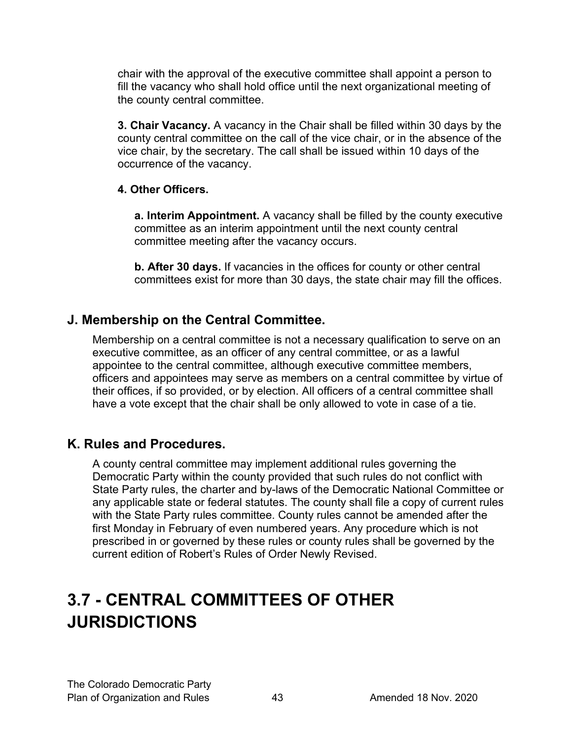chair with the approval of the executive committee shall appoint a person to fill the vacancy who shall hold office until the next organizational meeting of the county central committee.

**3. Chair Vacancy.** A vacancy in the Chair shall be filled within 30 days by the county central committee on the call of the vice chair, or in the absence of the vice chair, by the secretary. The call shall be issued within 10 days of the occurrence of the vacancy.

#### **4. Other Officers.**

**a. Interim Appointment.** A vacancy shall be filled by the county executive committee as an interim appointment until the next county central committee meeting after the vacancy occurs.

**b. After 30 days.** If vacancies in the offices for county or other central committees exist for more than 30 days, the state chair may fill the offices.

# <span id="page-42-0"></span>**J. Membership on the Central Committee.**

Membership on a central committee is not a necessary qualification to serve on an executive committee, as an officer of any central committee, or as a lawful appointee to the central committee, although executive committee members, officers and appointees may serve as members on a central committee by virtue of their offices, if so provided, or by election. All officers of a central committee shall have a vote except that the chair shall be only allowed to vote in case of a tie.

# <span id="page-42-1"></span>**K. Rules and Procedures.**

A county central committee may implement additional rules governing the Democratic Party within the county provided that such rules do not conflict with State Party rules, the charter and by-laws of the Democratic National Committee or any applicable state or federal statutes. The county shall file a copy of current rules with the State Party rules committee. County rules cannot be amended after the first Monday in February of even numbered years. Any procedure which is not prescribed in or governed by these rules or county rules shall be governed by the current edition of Robert's Rules of Order Newly Revised.

# <span id="page-42-2"></span>**3.7 - CENTRAL COMMITTEES OF OTHER JURISDICTIONS**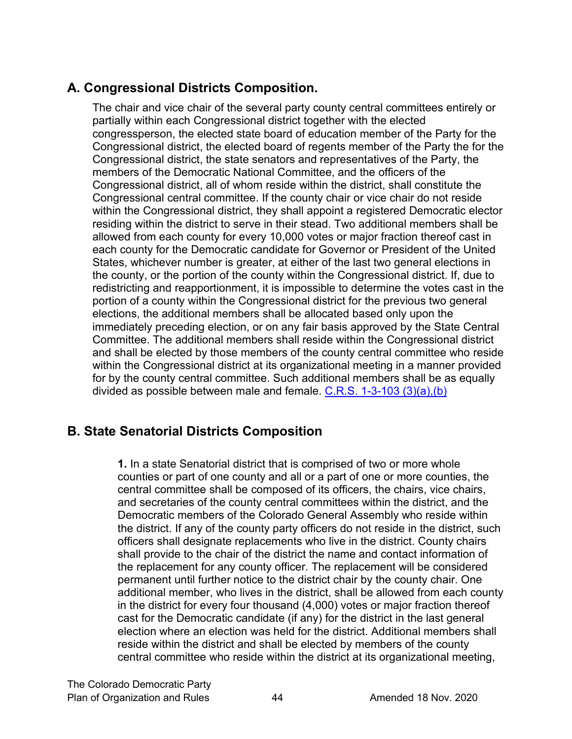# <span id="page-43-0"></span>**A. Congressional Districts Composition.**

The chair and vice chair of the several party county central committees entirely or partially within each Congressional district together with the elected congressperson, the elected state board of education member of the Party for the Congressional district, the elected board of regents member of the Party the for the Congressional district, the state senators and representatives of the Party, the members of the Democratic National Committee, and the officers of the Congressional district, all of whom reside within the district, shall constitute the Congressional central committee. If the county chair or vice chair do not reside within the Congressional district, they shall appoint a registered Democratic elector residing within the district to serve in their stead. Two additional members shall be allowed from each county for every 10,000 votes or major fraction thereof cast in each county for the Democratic candidate for Governor or President of the United States, whichever number is greater, at either of the last two general elections in the county, or the portion of the county within the Congressional district. If, due to redistricting and reapportionment, it is impossible to determine the votes cast in the portion of a county within the Congressional district for the previous two general elections, the additional members shall be allocated based only upon the immediately preceding election, or on any fair basis approved by the State Central Committee. The additional members shall reside within the Congressional district and shall be elected by those members of the county central committee who reside within the Congressional district at its organizational meeting in a manner provided for by the county central committee. Such additional members shall be as equally divided as possible between male and female. [C.R.S. 1-3-103 \(3\)\(a\),\(b\)](https://codes.findlaw.com/co/title-1-elections/co-rev-st-sect-1-3-103.html)

# <span id="page-43-1"></span>**B. State Senatorial Districts Composition**

**1.** In a state Senatorial district that is comprised of two or more whole counties or part of one county and all or a part of one or more counties, the central committee shall be composed of its officers, the chairs, vice chairs, and secretaries of the county central committees within the district, and the Democratic members of the Colorado General Assembly who reside within the district. If any of the county party officers do not reside in the district, such officers shall designate replacements who live in the district. County chairs shall provide to the chair of the district the name and contact information of the replacement for any county officer. The replacement will be considered permanent until further notice to the district chair by the county chair. One additional member, who lives in the district, shall be allowed from each county in the district for every four thousand (4,000) votes or major fraction thereof cast for the Democratic candidate (if any) for the district in the last general election where an election was held for the district. Additional members shall reside within the district and shall be elected by members of the county central committee who reside within the district at its organizational meeting,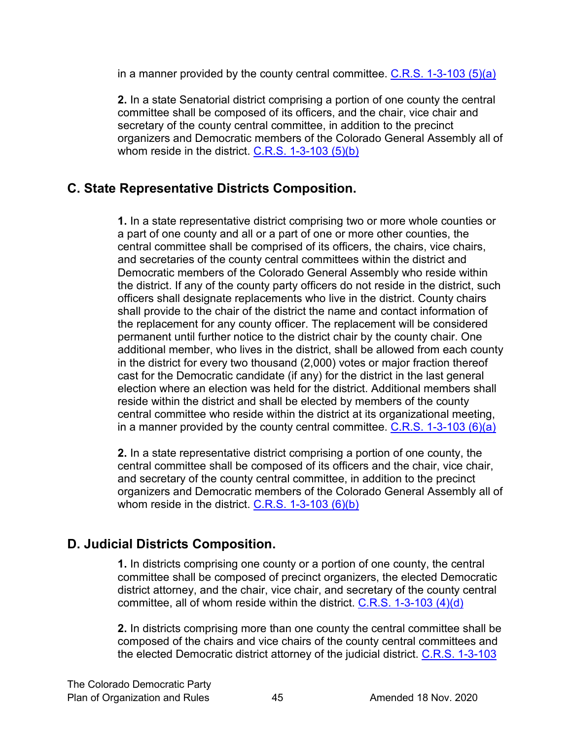in a manner provided by the county central committee. [C.R.S. 1-3-103 \(5\)\(a\)](https://codes.findlaw.com/co/title-1-elections/co-rev-st-sect-1-3-103.html)

**2.** In a state Senatorial district comprising a portion of one county the central committee shall be composed of its officers, and the chair, vice chair and secretary of the county central committee, in addition to the precinct organizers and Democratic members of the Colorado General Assembly all of whom reside in the district. [C.R.S. 1-3-103 \(5\)\(b\)](https://codes.findlaw.com/co/title-1-elections/co-rev-st-sect-1-3-103.html)

# <span id="page-44-0"></span>**C. State Representative Districts Composition.**

**1.** In a state representative district comprising two or more whole counties or a part of one county and all or a part of one or more other counties, the central committee shall be comprised of its officers, the chairs, vice chairs, and secretaries of the county central committees within the district and Democratic members of the Colorado General Assembly who reside within the district. If any of the county party officers do not reside in the district, such officers shall designate replacements who live in the district. County chairs shall provide to the chair of the district the name and contact information of the replacement for any county officer. The replacement will be considered permanent until further notice to the district chair by the county chair. One additional member, who lives in the district, shall be allowed from each county in the district for every two thousand (2,000) votes or major fraction thereof cast for the Democratic candidate (if any) for the district in the last general election where an election was held for the district. Additional members shall reside within the district and shall be elected by members of the county central committee who reside within the district at its organizational meeting, in a manner provided by the county central committee. C.R.S. 1-3-103  $(6)(a)$ 

**2.** In a state representative district comprising a portion of one county, the central committee shall be composed of its officers and the chair, vice chair, and secretary of the county central committee, in addition to the precinct organizers and Democratic members of the Colorado General Assembly all of whom reside in the district. C.R.S.  $1-3-103$  (6)(b)

# <span id="page-44-1"></span>**D. Judicial Districts Composition.**

**1.** In districts comprising one county or a portion of one county, the central committee shall be composed of precinct organizers, the elected Democratic district attorney, and the chair, vice chair, and secretary of the county central committee, all of whom reside within the district. C.R.S. 1-3-103  $(4)(d)$ 

**2.** In districts comprising more than one county the central committee shall be composed of the chairs and vice chairs of the county central committees and the elected Democratic district attorney of the judicial district. [C.R.S. 1-3-103](https://codes.findlaw.com/co/title-1-elections/co-rev-st-sect-1-3-103.html)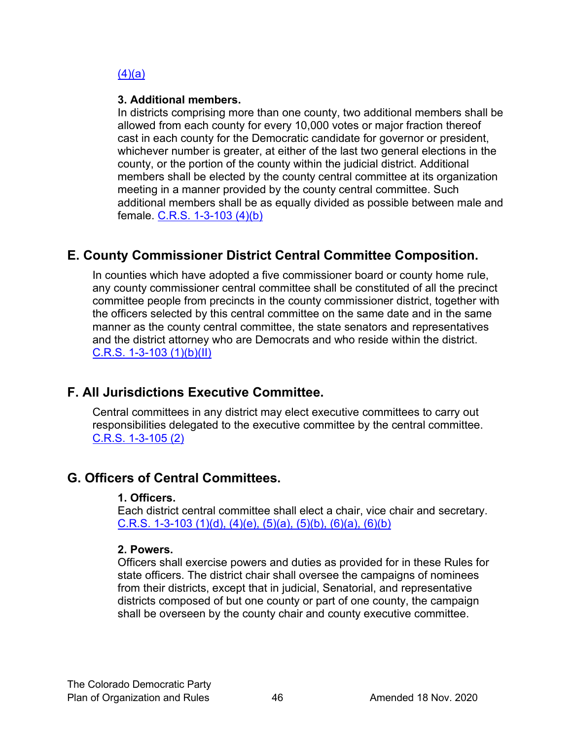#### $(4)(a)$

#### **3. Additional members.**

In districts comprising more than one county, two additional members shall be allowed from each county for every 10,000 votes or major fraction thereof cast in each county for the Democratic candidate for governor or president, whichever number is greater, at either of the last two general elections in the county, or the portion of the county within the judicial district. Additional members shall be elected by the county central committee at its organization meeting in a manner provided by the county central committee. Such additional members shall be as equally divided as possible between male and female. [C.R.S. 1-3-103 \(4\)\(b\)](https://codes.findlaw.com/co/title-1-elections/co-rev-st-sect-1-3-103.html)

# <span id="page-45-0"></span>**E. County Commissioner District Central Committee Composition.**

In counties which have adopted a five commissioner board or county home rule, any county commissioner central committee shall be constituted of all the precinct committee people from precincts in the county commissioner district, together with the officers selected by this central committee on the same date and in the same manner as the county central committee, the state senators and representatives and the district attorney who are Democrats and who reside within the district. [C.R.S. 1-3-103 \(1\)\(b\)\(II\)](https://codes.findlaw.com/co/title-1-elections/co-rev-st-sect-1-3-103.html)

# <span id="page-45-1"></span>**F. All Jurisdictions Executive Committee.**

Central committees in any district may elect executive committees to carry out responsibilities delegated to the executive committee by the central committee. [C.R.S. 1-3-105 \(2\)](https://codes.findlaw.com/co/title-1-elections/co-rev-st-sect-1-3-105.html)

# <span id="page-45-2"></span>**G. Officers of Central Committees.**

#### **1. Officers.**

Each district central committee shall elect a chair, vice chair and secretary. [C.R.S. 1-3-103 \(1\)\(d\), \(4\)\(e\), \(5\)\(a\), \(5\)\(b\), \(6\)\(a\), \(6\)\(b\)](https://codes.findlaw.com/co/title-1-elections/co-rev-st-sect-1-3-103.html)

#### **2. Powers.**

Officers shall exercise powers and duties as provided for in these Rules for state officers. The district chair shall oversee the campaigns of nominees from their districts, except that in judicial, Senatorial, and representative districts composed of but one county or part of one county, the campaign shall be overseen by the county chair and county executive committee.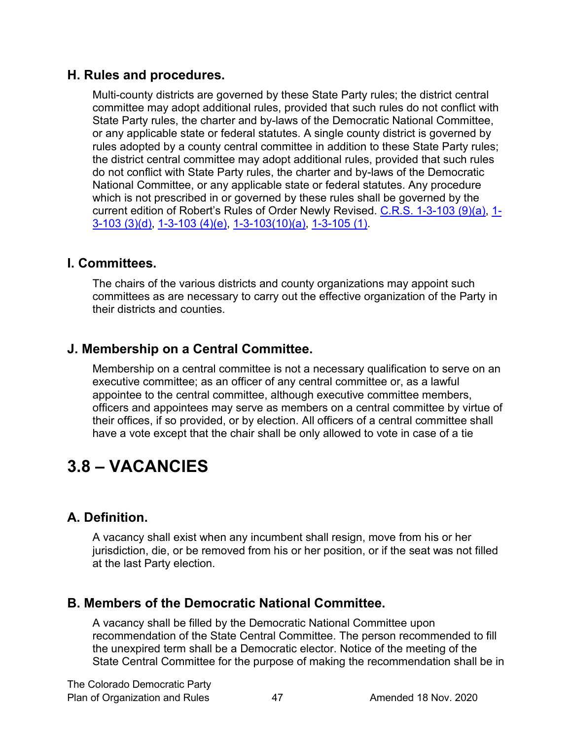## <span id="page-46-0"></span>**H. Rules and procedures.**

Multi-county districts are governed by these State Party rules; the district central committee may adopt additional rules, provided that such rules do not conflict with State Party rules, the charter and by-laws of the Democratic National Committee, or any applicable state or federal statutes. A single county district is governed by rules adopted by a county central committee in addition to these State Party rules; the district central committee may adopt additional rules, provided that such rules do not conflict with State Party rules, the charter and by-laws of the Democratic National Committee, or any applicable state or federal statutes. Any procedure which is not prescribed in or governed by these rules shall be governed by the current edition of Robert's Rules of Order Newly Revised. [C.R.S. 1-3-103 \(9\)\(a\), 1-](https://codes.findlaw.com/co/title-1-elections/co-rev-st-sect-1-3-103.html) [3-103 \(3\)\(d\), 1-3-103 \(4\)\(e\), 1-3-103\(10\)\(a\),](https://codes.findlaw.com/co/title-1-elections/co-rev-st-sect-1-3-103.html) [1-3-105 \(1\).](https://codes.findlaw.com/co/title-1-elections/co-rev-st-sect-1-3-105.html)

## <span id="page-46-1"></span>**I. Committees.**

The chairs of the various districts and county organizations may appoint such committees as are necessary to carry out the effective organization of the Party in their districts and counties.

# <span id="page-46-2"></span>**J. Membership on a Central Committee.**

Membership on a central committee is not a necessary qualification to serve on an executive committee; as an officer of any central committee or, as a lawful appointee to the central committee, although executive committee members, officers and appointees may serve as members on a central committee by virtue of their offices, if so provided, or by election. All officers of a central committee shall have a vote except that the chair shall be only allowed to vote in case of a tie

# <span id="page-46-3"></span>**3.8 – VACANCIES**

# <span id="page-46-4"></span>**A. Definition.**

A vacancy shall exist when any incumbent shall resign, move from his or her jurisdiction, die, or be removed from his or her position, or if the seat was not filled at the last Party election.

### <span id="page-46-5"></span>**B. Members of the Democratic National Committee.**

A vacancy shall be filled by the Democratic National Committee upon recommendation of the State Central Committee. The person recommended to fill the unexpired term shall be a Democratic elector. Notice of the meeting of the State Central Committee for the purpose of making the recommendation shall be in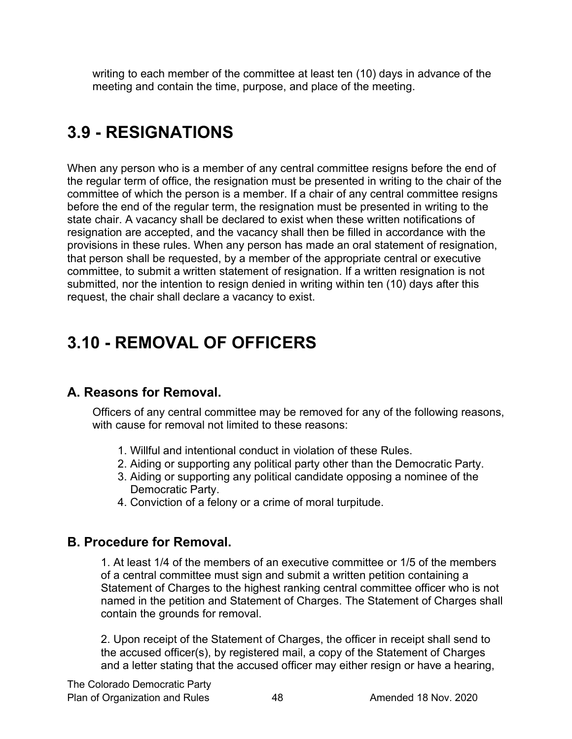writing to each member of the committee at least ten (10) days in advance of the meeting and contain the time, purpose, and place of the meeting.

# <span id="page-47-0"></span>**3.9 - RESIGNATIONS**

When any person who is a member of any central committee resigns before the end of the regular term of office, the resignation must be presented in writing to the chair of the committee of which the person is a member. If a chair of any central committee resigns before the end of the regular term, the resignation must be presented in writing to the state chair. A vacancy shall be declared to exist when these written notifications of resignation are accepted, and the vacancy shall then be filled in accordance with the provisions in these rules. When any person has made an oral statement of resignation, that person shall be requested, by a member of the appropriate central or executive committee, to submit a written statement of resignation. If a written resignation is not submitted, nor the intention to resign denied in writing within ten (10) days after this request, the chair shall declare a vacancy to exist.

# <span id="page-47-1"></span>**3.10 - REMOVAL OF OFFICERS**

# <span id="page-47-2"></span>**A. Reasons for Removal.**

Officers of any central committee may be removed for any of the following reasons, with cause for removal not limited to these reasons:

- 1. Willful and intentional conduct in violation of these Rules.
- 2. Aiding or supporting any political party other than the Democratic Party.
- 3. Aiding or supporting any political candidate opposing a nominee of the Democratic Party.
- 4. Conviction of a felony or a crime of moral turpitude.

# <span id="page-47-3"></span>**B. Procedure for Removal.**

1. At least 1/4 of the members of an executive committee or 1/5 of the members of a central committee must sign and submit a written petition containing a Statement of Charges to the highest ranking central committee officer who is not named in the petition and Statement of Charges. The Statement of Charges shall contain the grounds for removal.

2. Upon receipt of the Statement of Charges, the officer in receipt shall send to the accused officer(s), by registered mail, a copy of the Statement of Charges and a letter stating that the accused officer may either resign or have a hearing,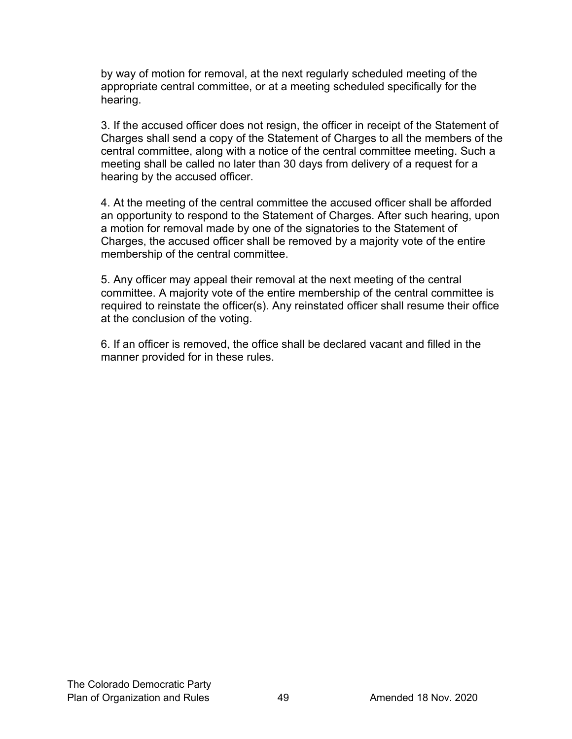by way of motion for removal, at the next regularly scheduled meeting of the appropriate central committee, or at a meeting scheduled specifically for the hearing.

3. If the accused officer does not resign, the officer in receipt of the Statement of Charges shall send a copy of the Statement of Charges to all the members of the central committee, along with a notice of the central committee meeting. Such a meeting shall be called no later than 30 days from delivery of a request for a hearing by the accused officer.

4. At the meeting of the central committee the accused officer shall be afforded an opportunity to respond to the Statement of Charges. After such hearing, upon a motion for removal made by one of the signatories to the Statement of Charges, the accused officer shall be removed by a majority vote of the entire membership of the central committee.

5. Any officer may appeal their removal at the next meeting of the central committee. A majority vote of the entire membership of the central committee is required to reinstate the officer(s). Any reinstated officer shall resume their office at the conclusion of the voting.

6. If an officer is removed, the office shall be declared vacant and filled in the manner provided for in these rules.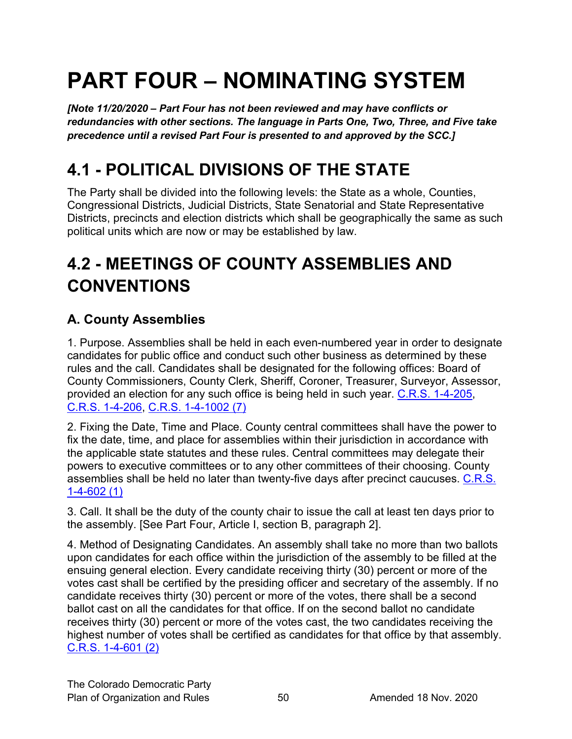# <span id="page-49-0"></span>**PART FOUR – NOMINATING SYSTEM**

*[Note 11/20/2020 – Part Four has not been reviewed and may have conflicts or redundancies with other sections. The language in Parts One, Two, Three, and Five take precedence until a revised Part Four is presented to and approved by the SCC.]*

# <span id="page-49-1"></span>**4.1 - POLITICAL DIVISIONS OF THE STATE**

The Party shall be divided into the following levels: the State as a whole, Counties, Congressional Districts, Judicial Districts, State Senatorial and State Representative Districts, precincts and election districts which shall be geographically the same as such political units which are now or may be established by law.

# <span id="page-49-2"></span>**4.2 - MEETINGS OF COUNTY ASSEMBLIES AND CONVENTIONS**

# <span id="page-49-3"></span>**A. County Assemblies**

1. Purpose. Assemblies shall be held in each even-numbered year in order to designate candidates for public office and conduct such other business as determined by these rules and the call. Candidates shall be designated for the following offices: Board of County Commissioners, County Clerk, Sheriff, Coroner, Treasurer, Surveyor, Assessor, provided an election for any such office is being held in such year. [C.R.S. 1-4-205,](https://codes.findlaw.com/co/title-1-elections/co-rev-st-sect-1-4-205.html) [C.R.S. 1-4-206,](https://codes.findlaw.com/co/title-1-elections/co-rev-st-sect-1-4-206.html) [C.R.S. 1-4-1002 \(7\)](https://codes.findlaw.com/co/title-1-elections/co-rev-st-sect-1-4-1002.html)

2. Fixing the Date, Time and Place. County central committees shall have the power to fix the date, time, and place for assemblies within their jurisdiction in accordance with the applicable state statutes and these rules. Central committees may delegate their powers to executive committees or to any other committees of their choosing. County assemblies shall be held no later than twenty-five days after precinct caucuses. [C.R.S.](https://codes.findlaw.com/co/title-1-elections/co-rev-st-sect-1-4-602.html)  [1-4-602 \(1\)](https://codes.findlaw.com/co/title-1-elections/co-rev-st-sect-1-4-602.html)

3. Call. It shall be the duty of the county chair to issue the call at least ten days prior to the assembly. [See Part Four, Article I, section B, paragraph 2].

4. Method of Designating Candidates. An assembly shall take no more than two ballots upon candidates for each office within the jurisdiction of the assembly to be filled at the ensuing general election. Every candidate receiving thirty (30) percent or more of the votes cast shall be certified by the presiding officer and secretary of the assembly. If no candidate receives thirty (30) percent or more of the votes, there shall be a second ballot cast on all the candidates for that office. If on the second ballot no candidate receives thirty (30) percent or more of the votes cast, the two candidates receiving the highest number of votes shall be certified as candidates for that office by that assembly. [C.R.S. 1-4-601 \(2\)](https://codes.findlaw.com/co/title-1-elections/co-rev-st-sect-1-4-601.html)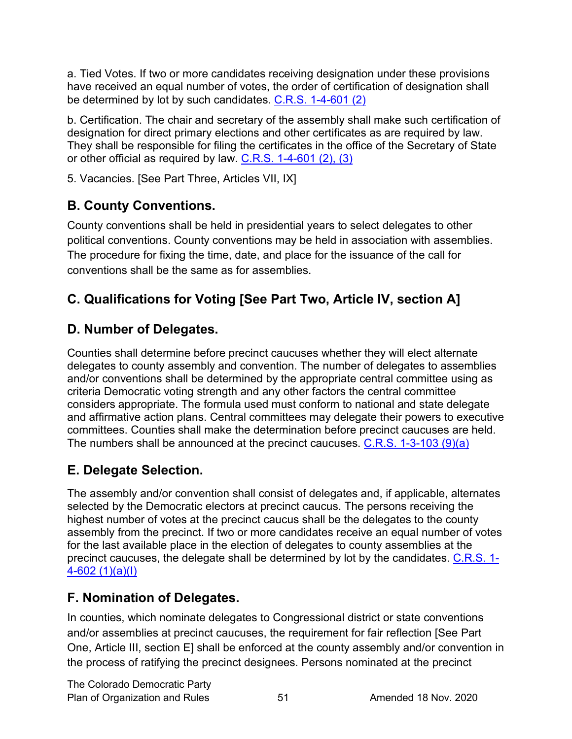a. Tied Votes. If two or more candidates receiving designation under these provisions have received an equal number of votes, the order of certification of designation shall be determined by lot by such candidates. [C.R.S. 1-4-601 \(2\)](https://codes.findlaw.com/co/title-1-elections/co-rev-st-sect-1-4-601.html)

b. Certification. The chair and secretary of the assembly shall make such certification of designation for direct primary elections and other certificates as are required by law. They shall be responsible for filing the certificates in the office of the Secretary of State or other official as required by law.  $C.R.S.$  1-4-601  $(2)$ ,  $(3)$ 

<span id="page-50-0"></span>5. Vacancies. [See Part Three, Articles VII, IX]

# **B. County Conventions.**

County conventions shall be held in presidential years to select delegates to other political conventions. County conventions may be held in association with assemblies. The procedure for fixing the time, date, and place for the issuance of the call for conventions shall be the same as for assemblies.

# <span id="page-50-1"></span>**C. Qualifications for Voting [See Part Two, Article IV, section A]**

# <span id="page-50-2"></span>**D. Number of Delegates.**

Counties shall determine before precinct caucuses whether they will elect alternate delegates to county assembly and convention. The number of delegates to assemblies and/or conventions shall be determined by the appropriate central committee using as criteria Democratic voting strength and any other factors the central committee considers appropriate. The formula used must conform to national and state delegate and affirmative action plans. Central committees may delegate their powers to executive committees. Counties shall make the determination before precinct caucuses are held. The numbers shall be announced at the precinct caucuses. [C.R.S. 1-3-103 \(9\)\(a\)](https://codes.findlaw.com/co/title-1-elections/co-rev-st-sect-1-3-103.html)

# <span id="page-50-3"></span>**E. Delegate Selection.**

The assembly and/or convention shall consist of delegates and, if applicable, alternates selected by the Democratic electors at precinct caucus. The persons receiving the highest number of votes at the precinct caucus shall be the delegates to the county assembly from the precinct. If two or more candidates receive an equal number of votes for the last available place in the election of delegates to county assemblies at the precinct caucuses, the delegate shall be determined by lot by the candidates. [C.R.S. 1-](https://codes.findlaw.com/co/title-1-elections/co-rev-st-sect-1-4-602.html) [4-602 \(1\)\(a\)\(I\)](https://codes.findlaw.com/co/title-1-elections/co-rev-st-sect-1-4-602.html)

# <span id="page-50-4"></span>**F. Nomination of Delegates.**

In counties, which nominate delegates to Congressional district or state conventions and/or assemblies at precinct caucuses, the requirement for fair reflection [See Part One, Article III, section E] shall be enforced at the county assembly and/or convention in the process of ratifying the precinct designees. Persons nominated at the precinct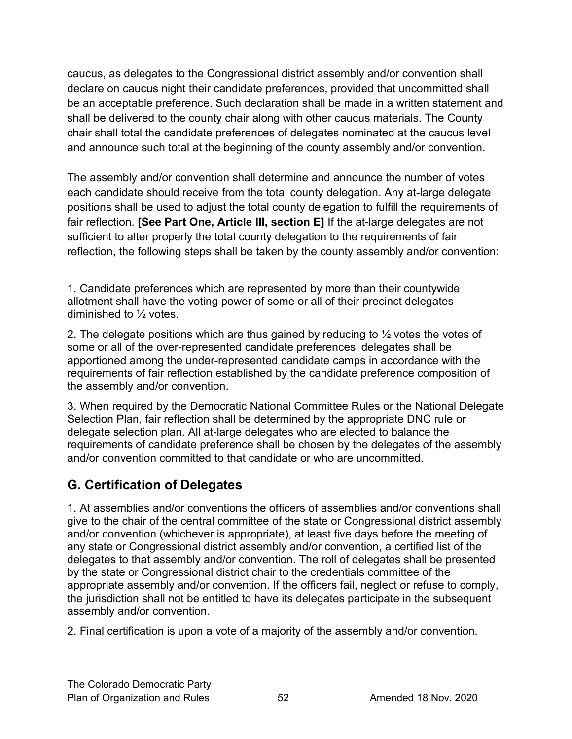caucus, as delegates to the Congressional district assembly and/or convention shall declare on caucus night their candidate preferences, provided that uncommitted shall be an acceptable preference. Such declaration shall be made in a written statement and shall be delivered to the county chair along with other caucus materials. The County chair shall total the candidate preferences of delegates nominated at the caucus level and announce such total at the beginning of the county assembly and/or convention.

The assembly and/or convention shall determine and announce the number of votes each candidate should receive from the total county delegation. Any at-large delegate positions shall be used to adjust the total county delegation to fulfill the requirements of fair reflection. **[See Part One, Article III, section E]** If the at-large delegates are not sufficient to alter properly the total county delegation to the requirements of fair reflection, the following steps shall be taken by the county assembly and/or convention:

1. Candidate preferences which are represented by more than their countywide allotment shall have the voting power of some or all of their precinct delegates diminished to ½ votes.

2. The delegate positions which are thus gained by reducing to  $\frac{1}{2}$  votes the votes of some or all of the over-represented candidate preferences' delegates shall be apportioned among the under-represented candidate camps in accordance with the requirements of fair reflection established by the candidate preference composition of the assembly and/or convention.

3. When required by the Democratic National Committee Rules or the National Delegate Selection Plan, fair reflection shall be determined by the appropriate DNC rule or delegate selection plan. All at-large delegates who are elected to balance the requirements of candidate preference shall be chosen by the delegates of the assembly and/or convention committed to that candidate or who are uncommitted.

# <span id="page-51-0"></span>**G. Certification of Delegates**

1. At assemblies and/or conventions the officers of assemblies and/or conventions shall give to the chair of the central committee of the state or Congressional district assembly and/or convention (whichever is appropriate), at least five days before the meeting of any state or Congressional district assembly and/or convention, a certified list of the delegates to that assembly and/or convention. The roll of delegates shall be presented by the state or Congressional district chair to the credentials committee of the appropriate assembly and/or convention. If the officers fail, neglect or refuse to comply, the jurisdiction shall not be entitled to have its delegates participate in the subsequent assembly and/or convention.

2. Final certification is upon a vote of a majority of the assembly and/or convention.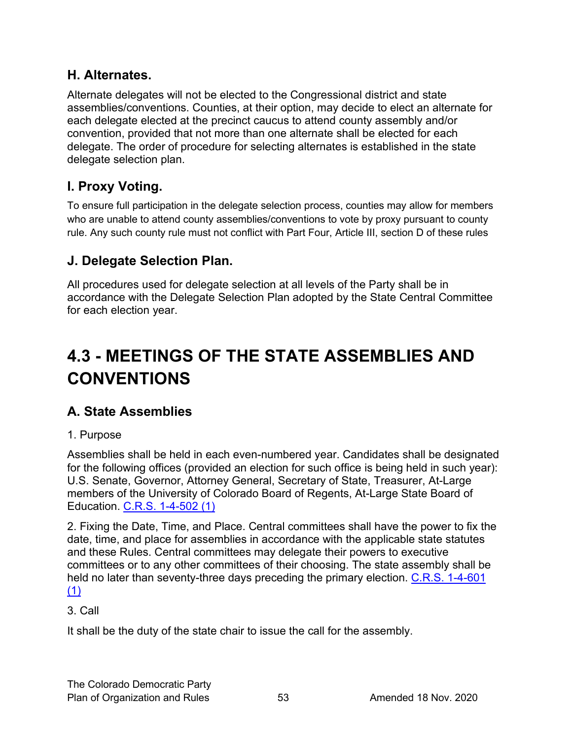# <span id="page-52-0"></span>**H. Alternates.**

Alternate delegates will not be elected to the Congressional district and state assemblies/conventions. Counties, at their option, may decide to elect an alternate for each delegate elected at the precinct caucus to attend county assembly and/or convention, provided that not more than one alternate shall be elected for each delegate. The order of procedure for selecting alternates is established in the state delegate selection plan.

# <span id="page-52-1"></span>**I. Proxy Voting.**

To ensure full participation in the delegate selection process, counties may allow for members who are unable to attend county assemblies/conventions to vote by proxy pursuant to county rule. Any such county rule must not conflict with Part Four, Article III, section D of these rules

# <span id="page-52-2"></span>**J. Delegate Selection Plan.**

All procedures used for delegate selection at all levels of the Party shall be in accordance with the Delegate Selection Plan adopted by the State Central Committee for each election year.

# <span id="page-52-3"></span>**4.3 - MEETINGS OF THE STATE ASSEMBLIES AND CONVENTIONS**

# <span id="page-52-4"></span>**A. State Assemblies**

### 1. Purpose

Assemblies shall be held in each even-numbered year. Candidates shall be designated for the following offices (provided an election for such office is being held in such year): U.S. Senate, Governor, Attorney General, Secretary of State, Treasurer, At-Large members of the University of Colorado Board of Regents, At-Large State Board of Education. [C.R.S. 1-4-502 \(1\)](https://codes.findlaw.com/co/title-1-elections/co-rev-st-sect-1-4-502.html)

2. Fixing the Date, Time, and Place. Central committees shall have the power to fix the date, time, and place for assemblies in accordance with the applicable state statutes and these Rules. Central committees may delegate their powers to executive committees or to any other committees of their choosing. The state assembly shall be held no later than seventy-three days preceding the primary election. [C.R.S. 1-4-601](https://codes.findlaw.com/co/title-1-elections/co-rev-st-sect-1-4-601.html)  [\(1\)](https://codes.findlaw.com/co/title-1-elections/co-rev-st-sect-1-4-601.html)

#### 3. Call

It shall be the duty of the state chair to issue the call for the assembly.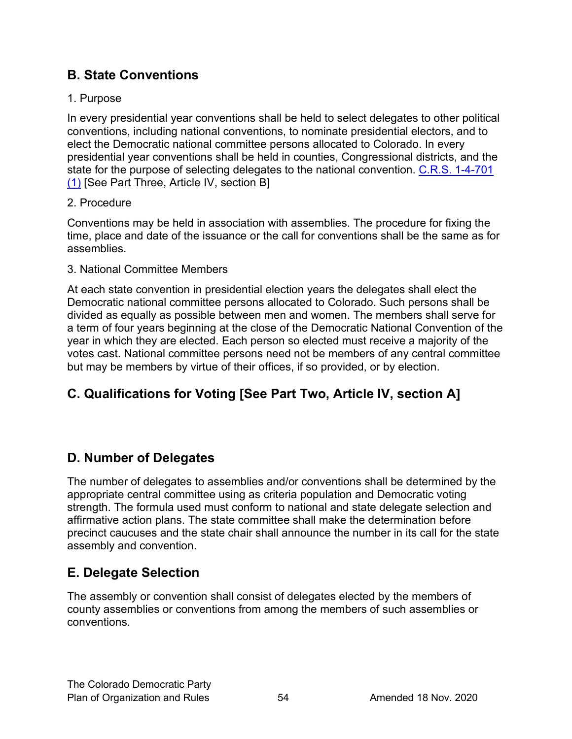# <span id="page-53-0"></span>**B. State Conventions**

#### 1. Purpose

In every presidential year conventions shall be held to select delegates to other political conventions, including national conventions, to nominate presidential electors, and to elect the Democratic national committee persons allocated to Colorado. In every presidential year conventions shall be held in counties, Congressional districts, and the state for the purpose of selecting delegates to the national convention. [C.R.S. 1-4-701](https://codes.findlaw.com/co/title-1-elections/co-rev-st-sect-1-4-701.html)  [\(1\)](https://codes.findlaw.com/co/title-1-elections/co-rev-st-sect-1-4-701.html) [See Part Three, Article IV, section B]

#### 2. Procedure

Conventions may be held in association with assemblies. The procedure for fixing the time, place and date of the issuance or the call for conventions shall be the same as for assemblies.

3. National Committee Members

At each state convention in presidential election years the delegates shall elect the Democratic national committee persons allocated to Colorado. Such persons shall be divided as equally as possible between men and women. The members shall serve for a term of four years beginning at the close of the Democratic National Convention of the year in which they are elected. Each person so elected must receive a majority of the votes cast. National committee persons need not be members of any central committee but may be members by virtue of their offices, if so provided, or by election.

# <span id="page-53-1"></span>**C. Qualifications for Voting [See Part Two, Article IV, section A]**

# <span id="page-53-2"></span>**D. Number of Delegates**

The number of delegates to assemblies and/or conventions shall be determined by the appropriate central committee using as criteria population and Democratic voting strength. The formula used must conform to national and state delegate selection and affirmative action plans. The state committee shall make the determination before precinct caucuses and the state chair shall announce the number in its call for the state assembly and convention.

# <span id="page-53-3"></span>**E. Delegate Selection**

The assembly or convention shall consist of delegates elected by the members of county assemblies or conventions from among the members of such assemblies or conventions.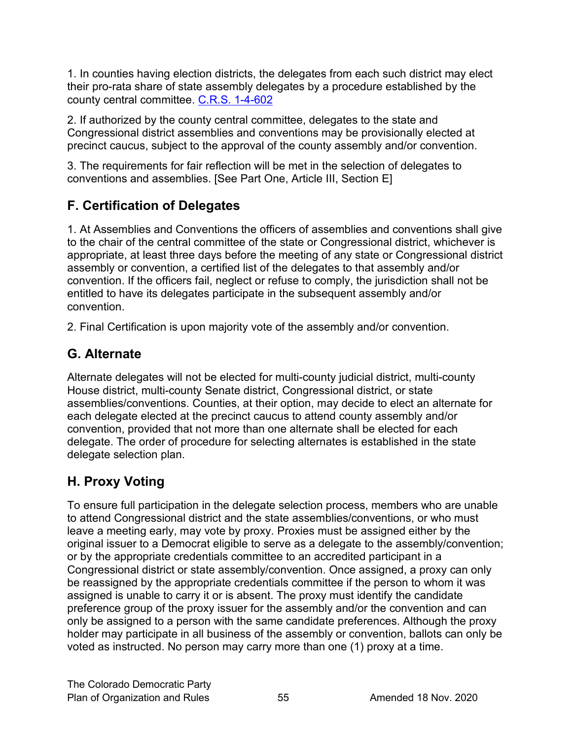1. In counties having election districts, the delegates from each such district may elect their pro-rata share of state assembly delegates by a procedure established by the county central committee. [C.R.S. 1-4-602](https://codes.findlaw.com/co/title-1-elections/co-rev-st-sect-1-4-602.html)

2. If authorized by the county central committee, delegates to the state and Congressional district assemblies and conventions may be provisionally elected at precinct caucus, subject to the approval of the county assembly and/or convention.

3. The requirements for fair reflection will be met in the selection of delegates to conventions and assemblies. [See Part One, Article III, Section E]

# <span id="page-54-0"></span>**F. Certification of Delegates**

1. At Assemblies and Conventions the officers of assemblies and conventions shall give to the chair of the central committee of the state or Congressional district, whichever is appropriate, at least three days before the meeting of any state or Congressional district assembly or convention, a certified list of the delegates to that assembly and/or convention. If the officers fail, neglect or refuse to comply, the jurisdiction shall not be entitled to have its delegates participate in the subsequent assembly and/or convention.

2. Final Certification is upon majority vote of the assembly and/or convention.

# <span id="page-54-1"></span>**G. Alternate**

Alternate delegates will not be elected for multi-county judicial district, multi-county House district, multi-county Senate district, Congressional district, or state assemblies/conventions. Counties, at their option, may decide to elect an alternate for each delegate elected at the precinct caucus to attend county assembly and/or convention, provided that not more than one alternate shall be elected for each delegate. The order of procedure for selecting alternates is established in the state delegate selection plan.

# <span id="page-54-2"></span>**H. Proxy Voting**

To ensure full participation in the delegate selection process, members who are unable to attend Congressional district and the state assemblies/conventions, or who must leave a meeting early, may vote by proxy. Proxies must be assigned either by the original issuer to a Democrat eligible to serve as a delegate to the assembly/convention; or by the appropriate credentials committee to an accredited participant in a Congressional district or state assembly/convention. Once assigned, a proxy can only be reassigned by the appropriate credentials committee if the person to whom it was assigned is unable to carry it or is absent. The proxy must identify the candidate preference group of the proxy issuer for the assembly and/or the convention and can only be assigned to a person with the same candidate preferences. Although the proxy holder may participate in all business of the assembly or convention, ballots can only be voted as instructed. No person may carry more than one (1) proxy at a time.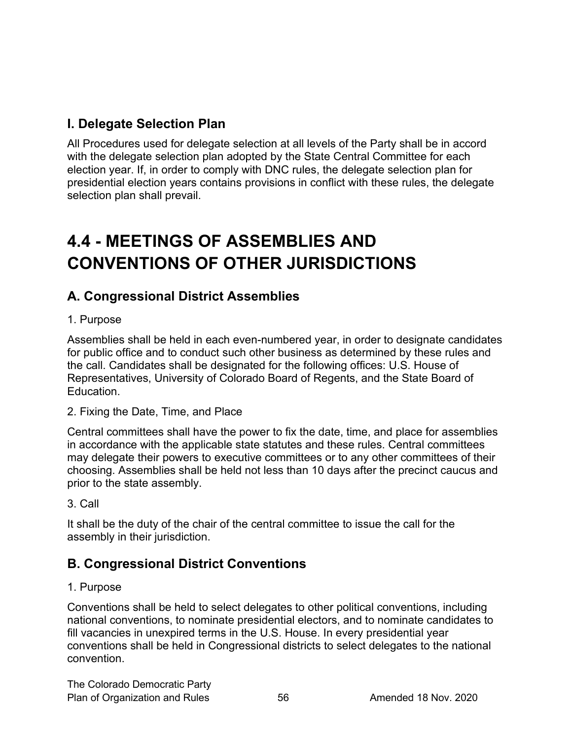# <span id="page-55-0"></span>**I. Delegate Selection Plan**

All Procedures used for delegate selection at all levels of the Party shall be in accord with the delegate selection plan adopted by the State Central Committee for each election year. If, in order to comply with DNC rules, the delegate selection plan for presidential election years contains provisions in conflict with these rules, the delegate selection plan shall prevail.

# <span id="page-55-1"></span>**4.4 - MEETINGS OF ASSEMBLIES AND CONVENTIONS OF OTHER JURISDICTIONS**

# <span id="page-55-2"></span>**A. Congressional District Assemblies**

#### 1. Purpose

Assemblies shall be held in each even-numbered year, in order to designate candidates for public office and to conduct such other business as determined by these rules and the call. Candidates shall be designated for the following offices: U.S. House of Representatives, University of Colorado Board of Regents, and the State Board of Education.

2. Fixing the Date, Time, and Place

Central committees shall have the power to fix the date, time, and place for assemblies in accordance with the applicable state statutes and these rules. Central committees may delegate their powers to executive committees or to any other committees of their choosing. Assemblies shall be held not less than 10 days after the precinct caucus and prior to the state assembly.

3. Call

It shall be the duty of the chair of the central committee to issue the call for the assembly in their jurisdiction.

# <span id="page-55-3"></span>**B. Congressional District Conventions**

#### 1. Purpose

Conventions shall be held to select delegates to other political conventions, including national conventions, to nominate presidential electors, and to nominate candidates to fill vacancies in unexpired terms in the U.S. House. In every presidential year conventions shall be held in Congressional districts to select delegates to the national convention.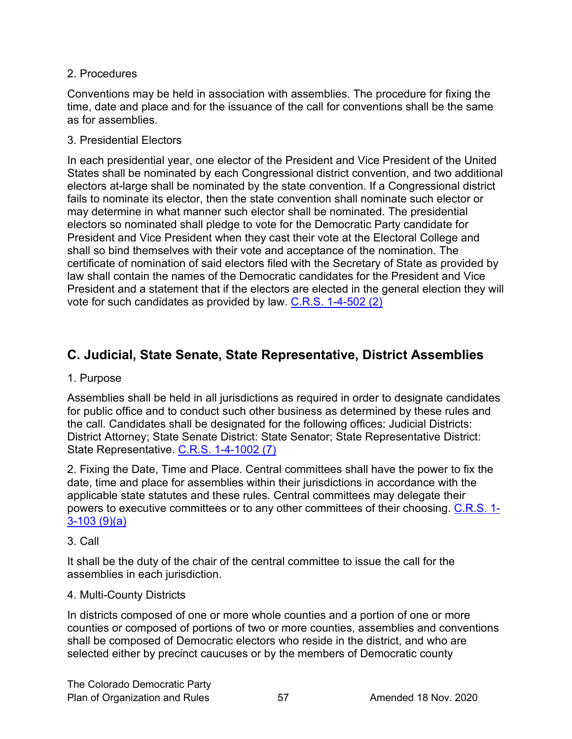#### 2. Procedures

Conventions may be held in association with assemblies. The procedure for fixing the time, date and place and for the issuance of the call for conventions shall be the same as for assemblies.

#### 3. Presidential Electors

In each presidential year, one elector of the President and Vice President of the United States shall be nominated by each Congressional district convention, and two additional electors at-large shall be nominated by the state convention. If a Congressional district fails to nominate its elector, then the state convention shall nominate such elector or may determine in what manner such elector shall be nominated. The presidential electors so nominated shall pledge to vote for the Democratic Party candidate for President and Vice President when they cast their vote at the Electoral College and shall so bind themselves with their vote and acceptance of the nomination. The certificate of nomination of said electors filed with the Secretary of State as provided by law shall contain the names of the Democratic candidates for the President and Vice President and a statement that if the electors are elected in the general election they will vote for such candidates as provided by law. [C.R.S. 1-4-502 \(2\)](https://codes.findlaw.com/co/title-1-elections/co-rev-st-sect-1-4-502.html)

# <span id="page-56-0"></span>**C. Judicial, State Senate, State Representative, District Assemblies**

#### 1. Purpose

Assemblies shall be held in all jurisdictions as required in order to designate candidates for public office and to conduct such other business as determined by these rules and the call. Candidates shall be designated for the following offices: Judicial Districts: District Attorney; State Senate District: State Senator; State Representative District: State Representative. [C.R.S. 1-4-1002 \(7\)](https://codes.findlaw.com/co/title-1-elections/co-rev-st-sect-1-4-1002.html)

2. Fixing the Date, Time and Place. Central committees shall have the power to fix the date, time and place for assemblies within their jurisdictions in accordance with the applicable state statutes and these rules. Central committees may delegate their powers to executive committees or to any other committees of their choosing. [C.R.S. 1-](https://codes.findlaw.com/co/title-1-elections/co-rev-st-sect-1-3-103.html) [3-103 \(9\)\(a\)](https://codes.findlaw.com/co/title-1-elections/co-rev-st-sect-1-3-103.html)

#### 3. Call

It shall be the duty of the chair of the central committee to issue the call for the assemblies in each jurisdiction.

#### 4. Multi-County Districts

In districts composed of one or more whole counties and a portion of one or more counties or composed of portions of two or more counties, assemblies and conventions shall be composed of Democratic electors who reside in the district, and who are selected either by precinct caucuses or by the members of Democratic county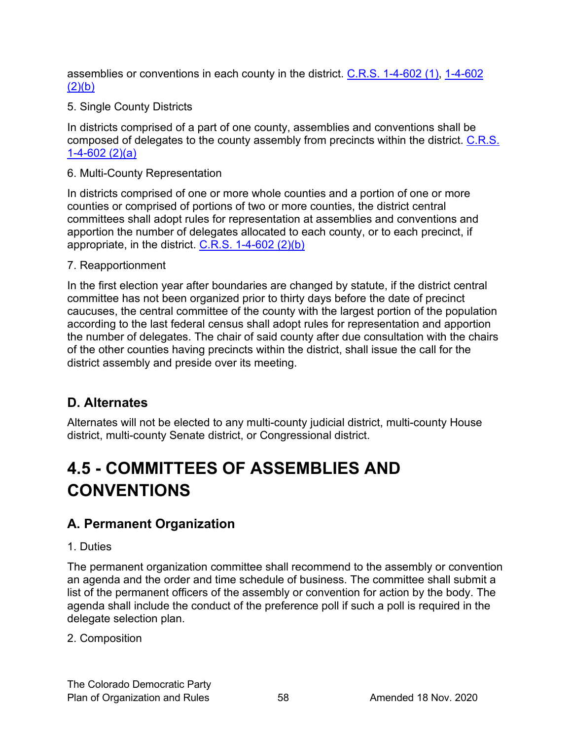assemblies or conventions in each county in the district. [C.R.S. 1-4-602 \(1\), 1-4-602](https://codes.findlaw.com/co/title-1-elections/co-rev-st-sect-1-4-602.html)   $(2)(b)$ 

5. Single County Districts

In districts comprised of a part of one county, assemblies and conventions shall be composed of delegates to the county assembly from precincts within the district. [C.R.S.](https://codes.findlaw.com/co/title-1-elections/co-rev-st-sect-1-4-602.html)  [1-4-602 \(2\)\(a\)](https://codes.findlaw.com/co/title-1-elections/co-rev-st-sect-1-4-602.html)

6. Multi-County Representation

In districts comprised of one or more whole counties and a portion of one or more counties or comprised of portions of two or more counties, the district central committees shall adopt rules for representation at assemblies and conventions and apportion the number of delegates allocated to each county, or to each precinct, if appropriate, in the district. [C.R.S. 1-4-602 \(2\)\(b\)](https://codes.findlaw.com/co/title-1-elections/co-rev-st-sect-1-4-602.html)

7. Reapportionment

In the first election year after boundaries are changed by statute, if the district central committee has not been organized prior to thirty days before the date of precinct caucuses, the central committee of the county with the largest portion of the population according to the last federal census shall adopt rules for representation and apportion the number of delegates. The chair of said county after due consultation with the chairs of the other counties having precincts within the district, shall issue the call for the district assembly and preside over its meeting.

# <span id="page-57-0"></span>**D. Alternates**

Alternates will not be elected to any multi-county judicial district, multi-county House district, multi-county Senate district, or Congressional district.

# <span id="page-57-1"></span>**4.5 - COMMITTEES OF ASSEMBLIES AND CONVENTIONS**

# <span id="page-57-2"></span>**A. Permanent Organization**

#### 1. Duties

The permanent organization committee shall recommend to the assembly or convention an agenda and the order and time schedule of business. The committee shall submit a list of the permanent officers of the assembly or convention for action by the body. The agenda shall include the conduct of the preference poll if such a poll is required in the delegate selection plan.

#### 2. Composition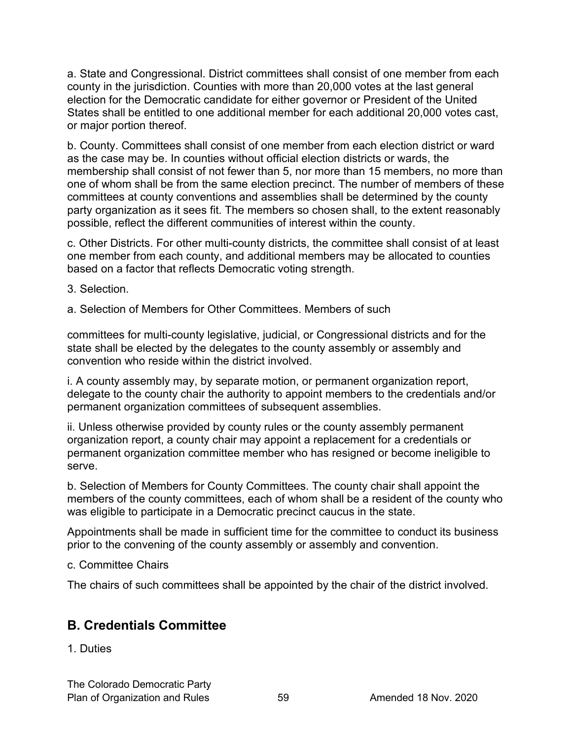a. State and Congressional. District committees shall consist of one member from each county in the jurisdiction. Counties with more than 20,000 votes at the last general election for the Democratic candidate for either governor or President of the United States shall be entitled to one additional member for each additional 20,000 votes cast, or major portion thereof.

b. County. Committees shall consist of one member from each election district or ward as the case may be. In counties without official election districts or wards, the membership shall consist of not fewer than 5, nor more than 15 members, no more than one of whom shall be from the same election precinct. The number of members of these committees at county conventions and assemblies shall be determined by the county party organization as it sees fit. The members so chosen shall, to the extent reasonably possible, reflect the different communities of interest within the county.

c. Other Districts. For other multi-county districts, the committee shall consist of at least one member from each county, and additional members may be allocated to counties based on a factor that reflects Democratic voting strength.

3. Selection.

a. Selection of Members for Other Committees. Members of such

committees for multi-county legislative, judicial, or Congressional districts and for the state shall be elected by the delegates to the county assembly or assembly and convention who reside within the district involved.

i. A county assembly may, by separate motion, or permanent organization report, delegate to the county chair the authority to appoint members to the credentials and/or permanent organization committees of subsequent assemblies.

ii. Unless otherwise provided by county rules or the county assembly permanent organization report, a county chair may appoint a replacement for a credentials or permanent organization committee member who has resigned or become ineligible to serve.

b. Selection of Members for County Committees. The county chair shall appoint the members of the county committees, each of whom shall be a resident of the county who was eligible to participate in a Democratic precinct caucus in the state.

Appointments shall be made in sufficient time for the committee to conduct its business prior to the convening of the county assembly or assembly and convention.

c. Committee Chairs

The chairs of such committees shall be appointed by the chair of the district involved.

# <span id="page-58-0"></span>**B. Credentials Committee**

1. Duties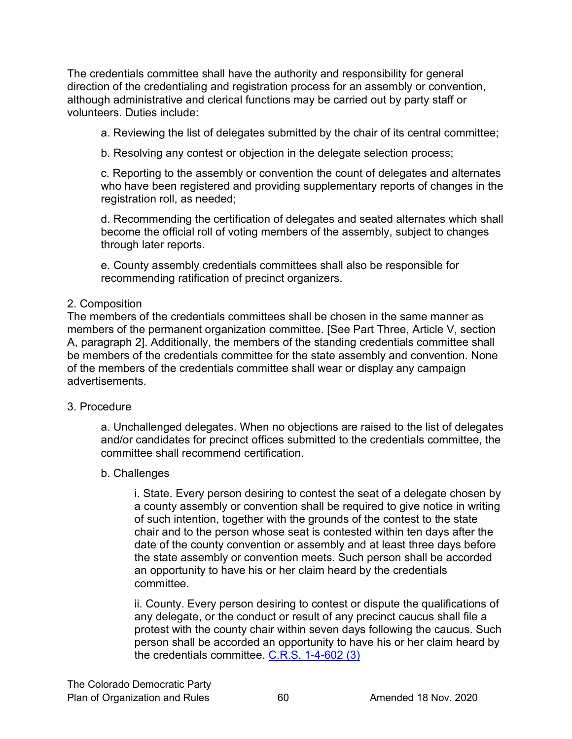The credentials committee shall have the authority and responsibility for general direction of the credentialing and registration process for an assembly or convention, although administrative and clerical functions may be carried out by party staff or volunteers. Duties include:

a. Reviewing the list of delegates submitted by the chair of its central committee;

b. Resolving any contest or objection in the delegate selection process;

c. Reporting to the assembly or convention the count of delegates and alternates who have been registered and providing supplementary reports of changes in the registration roll, as needed;

d. Recommending the certification of delegates and seated alternates which shall become the official roll of voting members of the assembly, subject to changes through later reports.

e. County assembly credentials committees shall also be responsible for recommending ratification of precinct organizers.

#### 2. Composition

The members of the credentials committees shall be chosen in the same manner as members of the permanent organization committee. [See Part Three, Article V, section A, paragraph 2]. Additionally, the members of the standing credentials committee shall be members of the credentials committee for the state assembly and convention. None of the members of the credentials committee shall wear or display any campaign advertisements.

#### 3. Procedure

a. Unchallenged delegates. When no objections are raised to the list of delegates and/or candidates for precinct offices submitted to the credentials committee, the committee shall recommend certification.

#### b. Challenges

i. State. Every person desiring to contest the seat of a delegate chosen by a county assembly or convention shall be required to give notice in writing of such intention, together with the grounds of the contest to the state chair and to the person whose seat is contested within ten days after the date of the county convention or assembly and at least three days before the state assembly or convention meets. Such person shall be accorded an opportunity to have his or her claim heard by the credentials committee.

ii. County. Every person desiring to contest or dispute the qualifications of any delegate, or the conduct or result of any precinct caucus shall file a protest with the county chair within seven days following the caucus. Such person shall be accorded an opportunity to have his or her claim heard by the credentials committee.  $C.R.S. 1-4-602(3)$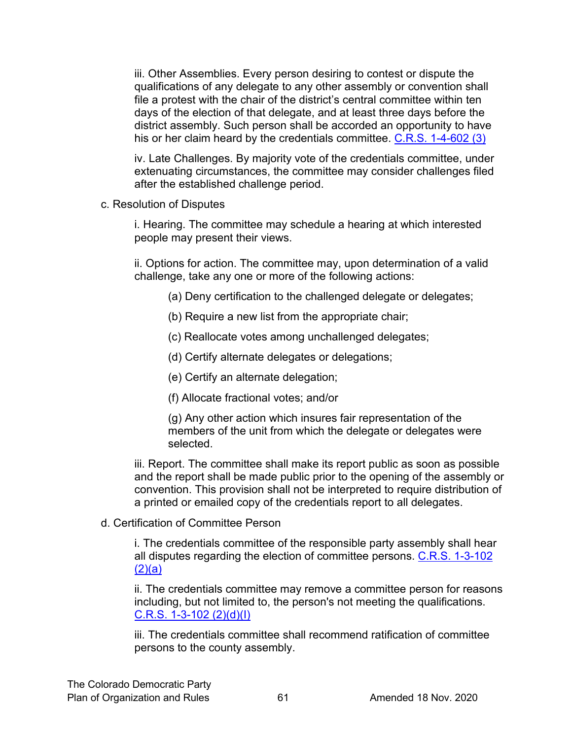iii. Other Assemblies. Every person desiring to contest or dispute the qualifications of any delegate to any other assembly or convention shall file a protest with the chair of the district's central committee within ten days of the election of that delegate, and at least three days before the district assembly. Such person shall be accorded an opportunity to have his or her claim heard by the credentials committee.  $C.R.S.$  1-4-602 (3)

iv. Late Challenges. By majority vote of the credentials committee, under extenuating circumstances, the committee may consider challenges filed after the established challenge period.

c. Resolution of Disputes

i. Hearing. The committee may schedule a hearing at which interested people may present their views.

ii. Options for action. The committee may, upon determination of a valid challenge, take any one or more of the following actions:

- (a) Deny certification to the challenged delegate or delegates;
- (b) Require a new list from the appropriate chair;
- (c) Reallocate votes among unchallenged delegates;
- (d) Certify alternate delegates or delegations;
- (e) Certify an alternate delegation;
- (f) Allocate fractional votes; and/or

(g) Any other action which insures fair representation of the members of the unit from which the delegate or delegates were selected.

iii. Report. The committee shall make its report public as soon as possible and the report shall be made public prior to the opening of the assembly or convention. This provision shall not be interpreted to require distribution of a printed or emailed copy of the credentials report to all delegates.

d. Certification of Committee Person

i. The credentials committee of the responsible party assembly shall hear all disputes regarding the election of committee persons. C.R.S. 1-3-102  $(2)(a)$ 

ii. The credentials committee may remove a committee person for reasons including, but not limited to, the person's not meeting the qualifications. [C.R.S. 1-3-102 \(2\)\(d\)\(I\)](https://codes.findlaw.com/co/title-1-elections/co-rev-st-sect-1-3-102.html)

iii. The credentials committee shall recommend ratification of committee persons to the county assembly.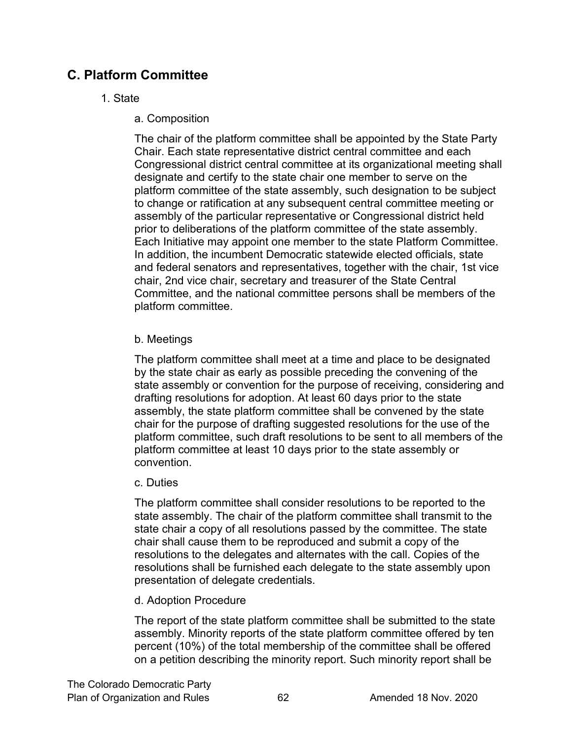# <span id="page-61-0"></span>**C. Platform Committee**

#### 1. State

#### a. Composition

The chair of the platform committee shall be appointed by the State Party Chair. Each state representative district central committee and each Congressional district central committee at its organizational meeting shall designate and certify to the state chair one member to serve on the platform committee of the state assembly, such designation to be subject to change or ratification at any subsequent central committee meeting or assembly of the particular representative or Congressional district held prior to deliberations of the platform committee of the state assembly. Each Initiative may appoint one member to the state Platform Committee. In addition, the incumbent Democratic statewide elected officials, state and federal senators and representatives, together with the chair, 1st vice chair, 2nd vice chair, secretary and treasurer of the State Central Committee, and the national committee persons shall be members of the platform committee.

#### b. Meetings

The platform committee shall meet at a time and place to be designated by the state chair as early as possible preceding the convening of the state assembly or convention for the purpose of receiving, considering and drafting resolutions for adoption. At least 60 days prior to the state assembly, the state platform committee shall be convened by the state chair for the purpose of drafting suggested resolutions for the use of the platform committee, such draft resolutions to be sent to all members of the platform committee at least 10 days prior to the state assembly or convention.

#### c. Duties

The platform committee shall consider resolutions to be reported to the state assembly. The chair of the platform committee shall transmit to the state chair a copy of all resolutions passed by the committee. The state chair shall cause them to be reproduced and submit a copy of the resolutions to the delegates and alternates with the call. Copies of the resolutions shall be furnished each delegate to the state assembly upon presentation of delegate credentials.

#### d. Adoption Procedure

The report of the state platform committee shall be submitted to the state assembly. Minority reports of the state platform committee offered by ten percent (10%) of the total membership of the committee shall be offered on a petition describing the minority report. Such minority report shall be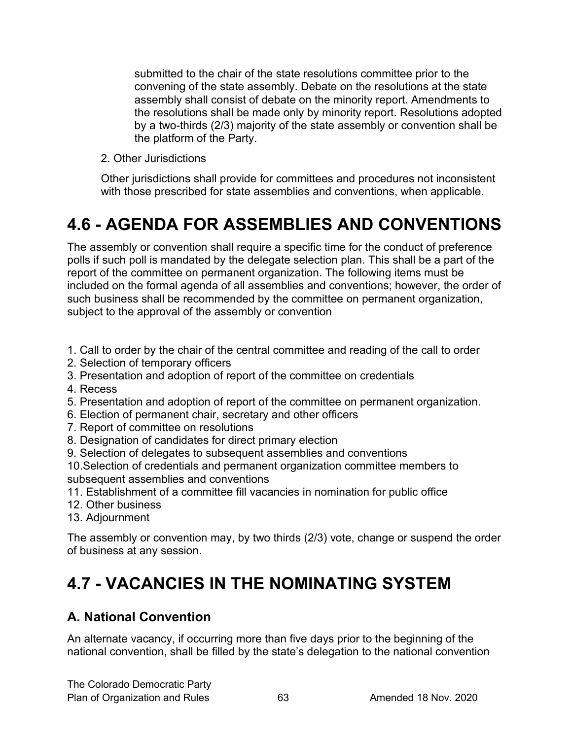submitted to the chair of the state resolutions committee prior to the convening of the state assembly. Debate on the resolutions at the state assembly shall consist of debate on the minority report. Amendments to the resolutions shall be made only by minority report. Resolutions adopted by a two-thirds (2/3) majority of the state assembly or convention shall be the platform of the Party.

2. Other Jurisdictions

Other jurisdictions shall provide for committees and procedures not inconsistent with those prescribed for state assemblies and conventions, when applicable.

# <span id="page-62-0"></span>**4.6 - AGENDA FOR ASSEMBLIES AND CONVENTIONS**

The assembly or convention shall require a specific time for the conduct of preference polls if such poll is mandated by the delegate selection plan. This shall be a part of the report of the committee on permanent organization. The following items must be included on the formal agenda of all assemblies and conventions; however, the order of such business shall be recommended by the committee on permanent organization, subject to the approval of the assembly or convention

- 1. Call to order by the chair of the central committee and reading of the call to order
- 2. Selection of temporary officers
- 3. Presentation and adoption of report of the committee on credentials
- 4. Recess
- 5. Presentation and adoption of report of the committee on permanent organization.
- 6. Election of permanent chair, secretary and other officers
- 7. Report of committee on resolutions
- 8. Designation of candidates for direct primary election
- 9. Selection of delegates to subsequent assemblies and conventions
- 10.Selection of credentials and permanent organization committee members to subsequent assemblies and conventions
- 11. Establishment of a committee fill vacancies in nomination for public office
- 12. Other business
- 13. Adjournment

The assembly or convention may, by two thirds (2/3) vote, change or suspend the order of business at any session.

# <span id="page-62-1"></span>**4.7 - VACANCIES IN THE NOMINATING SYSTEM**

# <span id="page-62-2"></span>**A. National Convention**

An alternate vacancy, if occurring more than five days prior to the beginning of the national convention, shall be filled by the state's delegation to the national convention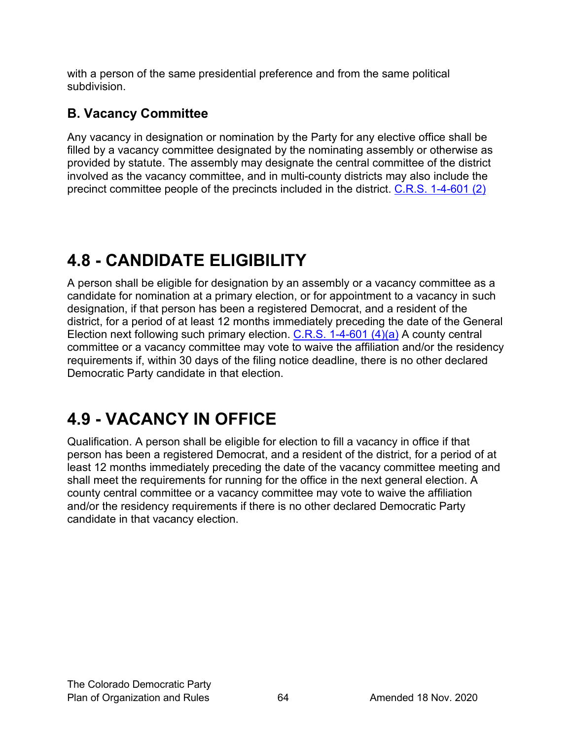with a person of the same presidential preference and from the same political subdivision.

# <span id="page-63-0"></span>**B. Vacancy Committee**

Any vacancy in designation or nomination by the Party for any elective office shall be filled by a vacancy committee designated by the nominating assembly or otherwise as provided by statute. The assembly may designate the central committee of the district involved as the vacancy committee, and in multi-county districts may also include the precinct committee people of the precincts included in the district. [C.R.S. 1-4-601 \(2\)](https://codes.findlaw.com/co/title-1-elections/co-rev-st-sect-1-4-601.html)

# <span id="page-63-1"></span>**4.8 - CANDIDATE ELIGIBILITY**

A person shall be eligible for designation by an assembly or a vacancy committee as a candidate for nomination at a primary election, or for appointment to a vacancy in such designation, if that person has been a registered Democrat, and a resident of the district, for a period of at least 12 months immediately preceding the date of the General Election next following such primary election. [C.R.S. 1-4-601 \(4\)\(a\)](https://codes.findlaw.com/co/title-1-elections/co-rev-st-sect-1-4-601.html) A county central committee or a vacancy committee may vote to waive the affiliation and/or the residency requirements if, within 30 days of the filing notice deadline, there is no other declared Democratic Party candidate in that election.

# <span id="page-63-2"></span>**4.9 - VACANCY IN OFFICE**

Qualification. A person shall be eligible for election to fill a vacancy in office if that person has been a registered Democrat, and a resident of the district, for a period of at least 12 months immediately preceding the date of the vacancy committee meeting and shall meet the requirements for running for the office in the next general election. A county central committee or a vacancy committee may vote to waive the affiliation and/or the residency requirements if there is no other declared Democratic Party candidate in that vacancy election.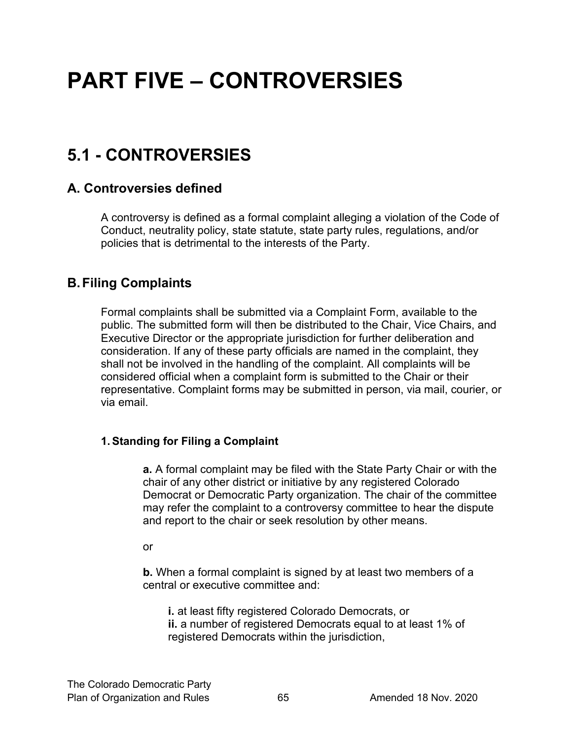# <span id="page-64-0"></span>**PART FIVE – CONTROVERSIES**

# <span id="page-64-1"></span>**5.1 - CONTROVERSIES**

# <span id="page-64-2"></span>**A. Controversies defined**

A controversy is defined as a formal complaint alleging a violation of the Code of Conduct, neutrality policy, state statute, state party rules, regulations, and/or policies that is detrimental to the interests of the Party.

# <span id="page-64-3"></span>**B.Filing Complaints**

Formal complaints shall be submitted via a Complaint Form, available to the public. The submitted form will then be distributed to the Chair, Vice Chairs, and Executive Director or the appropriate jurisdiction for further deliberation and consideration. If any of these party officials are named in the complaint, they shall not be involved in the handling of the complaint. All complaints will be considered official when a complaint form is submitted to the Chair or their representative. Complaint forms may be submitted in person, via mail, courier, or via email.

### **1.Standing for Filing a Complaint**

**a.** A formal complaint may be filed with the State Party Chair or with the chair of any other district or initiative by any registered Colorado Democrat or Democratic Party organization. The chair of the committee may refer the complaint to a controversy committee to hear the dispute and report to the chair or seek resolution by other means.

or

**b.** When a formal complaint is signed by at least two members of a central or executive committee and:

**i.** at least fifty registered Colorado Democrats, or **ii.** a number of registered Democrats equal to at least 1% of registered Democrats within the jurisdiction,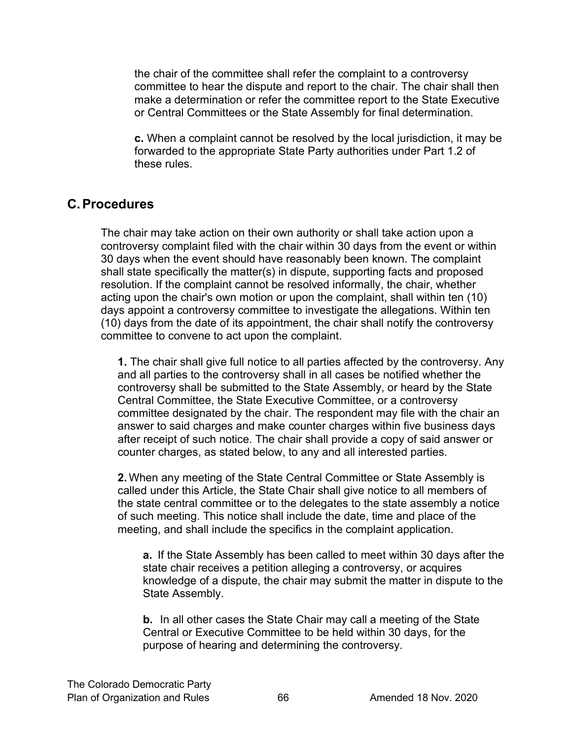the chair of the committee shall refer the complaint to a controversy committee to hear the dispute and report to the chair. The chair shall then make a determination or refer the committee report to the State Executive or Central Committees or the State Assembly for final determination.

**c.** When a complaint cannot be resolved by the local jurisdiction, it may be forwarded to the appropriate State Party authorities under Part 1.2 of these rules.

# <span id="page-65-0"></span>**C.Procedures**

The chair may take action on their own authority or shall take action upon a controversy complaint filed with the chair within 30 days from the event or within 30 days when the event should have reasonably been known. The complaint shall state specifically the matter(s) in dispute, supporting facts and proposed resolution. If the complaint cannot be resolved informally, the chair, whether acting upon the chair's own motion or upon the complaint, shall within ten (10) days appoint a controversy committee to investigate the allegations. Within ten (10) days from the date of its appointment, the chair shall notify the controversy committee to convene to act upon the complaint.

**1.** The chair shall give full notice to all parties affected by the controversy. Any and all parties to the controversy shall in all cases be notified whether the controversy shall be submitted to the State Assembly, or heard by the State Central Committee, the State Executive Committee, or a controversy committee designated by the chair. The respondent may file with the chair an answer to said charges and make counter charges within five business days after receipt of such notice. The chair shall provide a copy of said answer or counter charges, as stated below, to any and all interested parties.

**2.** When any meeting of the State Central Committee or State Assembly is called under this Article, the State Chair shall give notice to all members of the state central committee or to the delegates to the state assembly a notice of such meeting. This notice shall include the date, time and place of the meeting, and shall include the specifics in the complaint application.

**a.** If the State Assembly has been called to meet within 30 days after the state chair receives a petition alleging a controversy, or acquires knowledge of a dispute, the chair may submit the matter in dispute to the State Assembly.

**b.** In all other cases the State Chair may call a meeting of the State Central or Executive Committee to be held within 30 days, for the purpose of hearing and determining the controversy.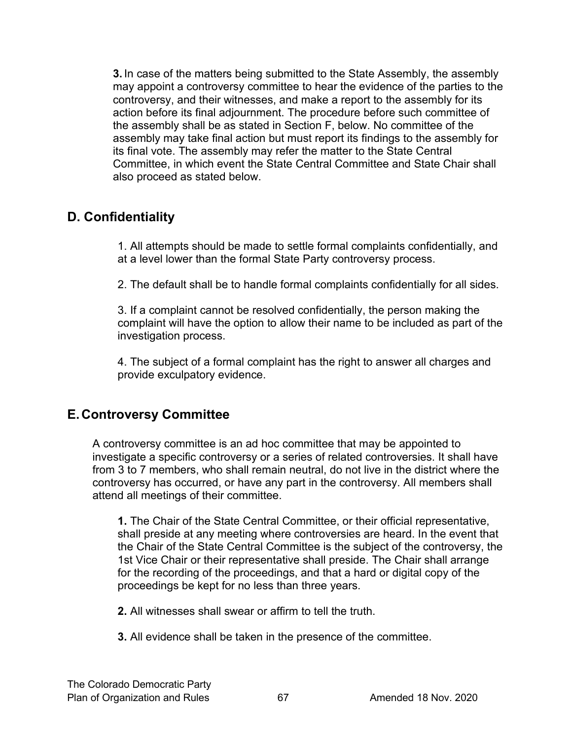**3.** In case of the matters being submitted to the State Assembly, the assembly may appoint a controversy committee to hear the evidence of the parties to the controversy, and their witnesses, and make a report to the assembly for its action before its final adjournment. The procedure before such committee of the assembly shall be as stated in Section F, below. No committee of the assembly may take final action but must report its findings to the assembly for its final vote. The assembly may refer the matter to the State Central Committee, in which event the State Central Committee and State Chair shall also proceed as stated below.

# <span id="page-66-0"></span>**D. Confidentiality**

1. All attempts should be made to settle formal complaints confidentially, and at a level lower than the formal State Party controversy process.

2. The default shall be to handle formal complaints confidentially for all sides.

3. If a complaint cannot be resolved confidentially, the person making the complaint will have the option to allow their name to be included as part of the investigation process.

4. The subject of a formal complaint has the right to answer all charges and provide exculpatory evidence.

# <span id="page-66-1"></span>**E.Controversy Committee**

A controversy committee is an ad hoc committee that may be appointed to investigate a specific controversy or a series of related controversies. It shall have from 3 to 7 members, who shall remain neutral, do not live in the district where the controversy has occurred, or have any part in the controversy. All members shall attend all meetings of their committee.

**1.** The Chair of the State Central Committee, or their official representative, shall preside at any meeting where controversies are heard. In the event that the Chair of the State Central Committee is the subject of the controversy, the 1st Vice Chair or their representative shall preside. The Chair shall arrange for the recording of the proceedings, and that a hard or digital copy of the proceedings be kept for no less than three years.

**2.** All witnesses shall swear or affirm to tell the truth.

**3.** All evidence shall be taken in the presence of the committee.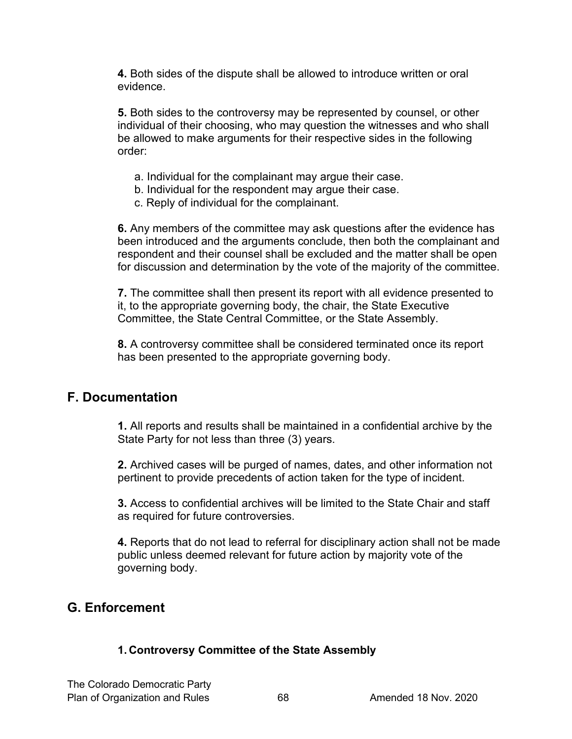**4.** Both sides of the dispute shall be allowed to introduce written or oral evidence.

**5.** Both sides to the controversy may be represented by counsel, or other individual of their choosing, who may question the witnesses and who shall be allowed to make arguments for their respective sides in the following order:

- a. Individual for the complainant may argue their case.
- b. Individual for the respondent may argue their case.
- c. Reply of individual for the complainant.

**6.** Any members of the committee may ask questions after the evidence has been introduced and the arguments conclude, then both the complainant and respondent and their counsel shall be excluded and the matter shall be open for discussion and determination by the vote of the majority of the committee.

**7.** The committee shall then present its report with all evidence presented to it, to the appropriate governing body, the chair, the State Executive Committee, the State Central Committee, or the State Assembly.

**8.** A controversy committee shall be considered terminated once its report has been presented to the appropriate governing body.

# <span id="page-67-0"></span>**F. Documentation**

**1.** All reports and results shall be maintained in a confidential archive by the State Party for not less than three (3) years.

**2.** Archived cases will be purged of names, dates, and other information not pertinent to provide precedents of action taken for the type of incident.

**3.** Access to confidential archives will be limited to the State Chair and staff as required for future controversies.

**4.** Reports that do not lead to referral for disciplinary action shall not be made public unless deemed relevant for future action by majority vote of the governing body.

# <span id="page-67-1"></span>**G. Enforcement**

#### **1. Controversy Committee of the State Assembly**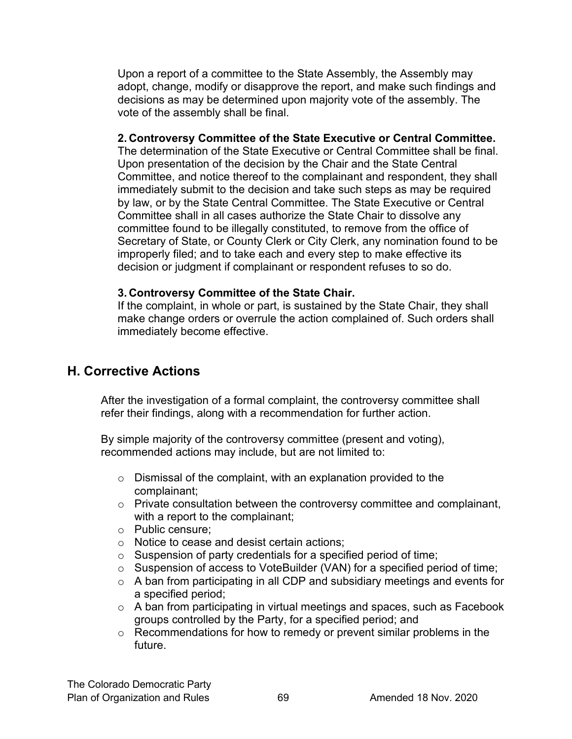Upon a report of a committee to the State Assembly, the Assembly may adopt, change, modify or disapprove the report, and make such findings and decisions as may be determined upon majority vote of the assembly. The vote of the assembly shall be final.

#### **2. Controversy Committee of the State Executive or Central Committee.**

The determination of the State Executive or Central Committee shall be final. Upon presentation of the decision by the Chair and the State Central Committee, and notice thereof to the complainant and respondent, they shall immediately submit to the decision and take such steps as may be required by law, or by the State Central Committee. The State Executive or Central Committee shall in all cases authorize the State Chair to dissolve any committee found to be illegally constituted, to remove from the office of Secretary of State, or County Clerk or City Clerk, any nomination found to be improperly filed; and to take each and every step to make effective its decision or judgment if complainant or respondent refuses to so do.

#### **3. Controversy Committee of the State Chair.**

If the complaint, in whole or part, is sustained by the State Chair, they shall make change orders or overrule the action complained of. Such orders shall immediately become effective.

# <span id="page-68-0"></span>**H. Corrective Actions**

After the investigation of a formal complaint, the controversy committee shall refer their findings, along with a recommendation for further action.

By simple majority of the controversy committee (present and voting), recommended actions may include, but are not limited to:

- $\circ$  Dismissal of the complaint, with an explanation provided to the complainant;
- o Private consultation between the controversy committee and complainant, with a report to the complainant;
- o Public censure;
- o Notice to cease and desist certain actions;
- o Suspension of party credentials for a specified period of time;
- o Suspension of access to VoteBuilder (VAN) for a specified period of time;
- o A ban from participating in all CDP and subsidiary meetings and events for a specified period;
- o A ban from participating in virtual meetings and spaces, such as Facebook groups controlled by the Party, for a specified period; and
- o Recommendations for how to remedy or prevent similar problems in the future.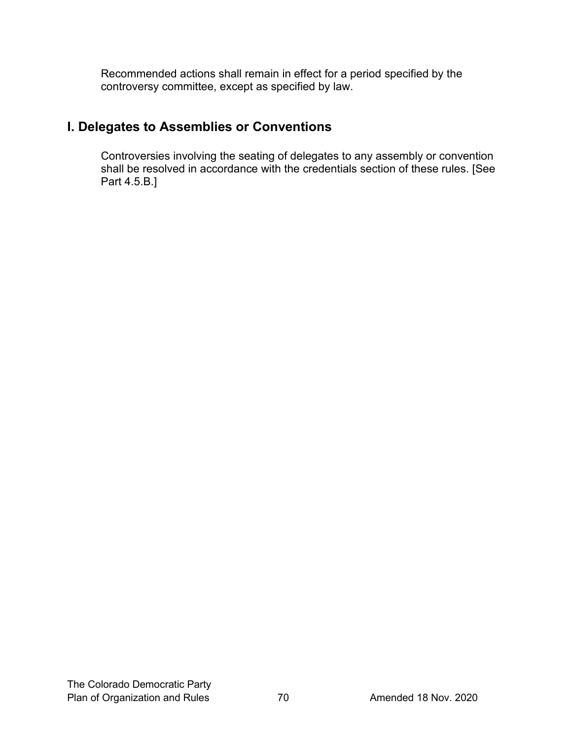Recommended actions shall remain in effect for a period specified by the controversy committee, except as specified by law.

# <span id="page-69-0"></span>**I. Delegates to Assemblies or Conventions**

Controversies involving the seating of delegates to any assembly or convention shall be resolved in accordance with the credentials section of these rules. [See Part 4.5.B.]